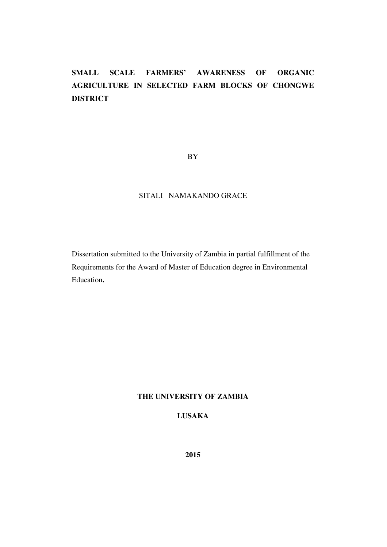# **SMALL SCALE FARMERS' AWARENESS OF ORGANIC AGRICULTURE IN SELECTED FARM BLOCKS OF CHONGWE DISTRICT**

BY

## SITALI NAMAKANDO GRACE

Dissertation submitted to the University of Zambia in partial fulfillment of the Requirements for the Award of Master of Education degree in Environmental Education**.** 

## **THE UNIVERSITY OF ZAMBIA**

## **LUSAKA**

**2015**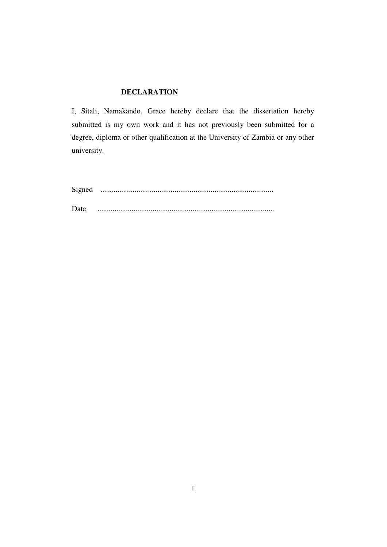## **DECLARATION**

I, Sitali, Namakando, Grace hereby declare that the dissertation hereby submitted is my own work and it has not previously been submitted for a degree, diploma or other qualification at the University of Zambia or any other university.

| Signed |  |
|--------|--|
| Date   |  |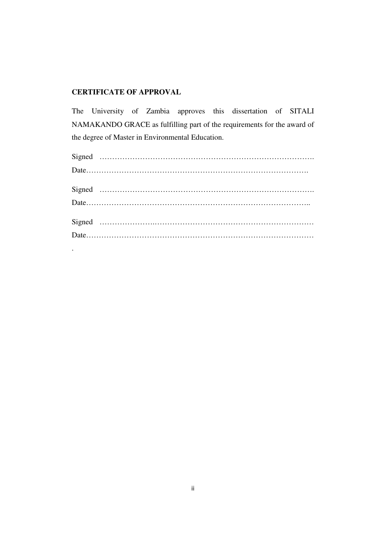## **CERTIFICATE OF APPROVAL**

.

The University of Zambia approves this dissertation of SITALI NAMAKANDO GRACE as fulfilling part of the requirements for the award of the degree of Master in Environmental Education.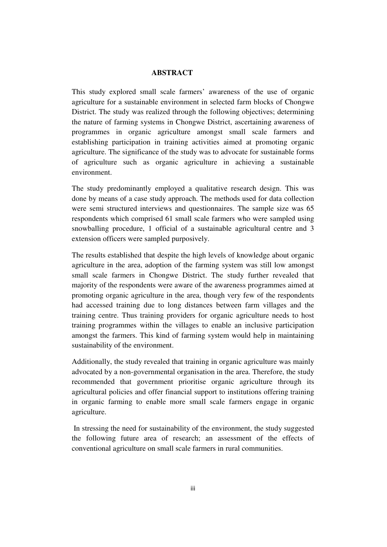#### **ABSTRACT**

This study explored small scale farmers' awareness of the use of organic agriculture for a sustainable environment in selected farm blocks of Chongwe District. The study was realized through the following objectives; determining the nature of farming systems in Chongwe District, ascertaining awareness of programmes in organic agriculture amongst small scale farmers and establishing participation in training activities aimed at promoting organic agriculture. The significance of the study was to advocate for sustainable forms of agriculture such as organic agriculture in achieving a sustainable environment.

The study predominantly employed a qualitative research design. This was done by means of a case study approach. The methods used for data collection were semi structured interviews and questionnaires. The sample size was 65 respondents which comprised 61 small scale farmers who were sampled using snowballing procedure, 1 official of a sustainable agricultural centre and 3 extension officers were sampled purposively.

The results established that despite the high levels of knowledge about organic agriculture in the area, adoption of the farming system was still low amongst small scale farmers in Chongwe District. The study further revealed that majority of the respondents were aware of the awareness programmes aimed at promoting organic agriculture in the area, though very few of the respondents had accessed training due to long distances between farm villages and the training centre. Thus training providers for organic agriculture needs to host training programmes within the villages to enable an inclusive participation amongst the farmers. This kind of farming system would help in maintaining sustainability of the environment.

Additionally, the study revealed that training in organic agriculture was mainly advocated by a non-governmental organisation in the area. Therefore, the study recommended that government prioritise organic agriculture through its agricultural policies and offer financial support to institutions offering training in organic farming to enable more small scale farmers engage in organic agriculture.

 In stressing the need for sustainability of the environment, the study suggested the following future area of research; an assessment of the effects of conventional agriculture on small scale farmers in rural communities.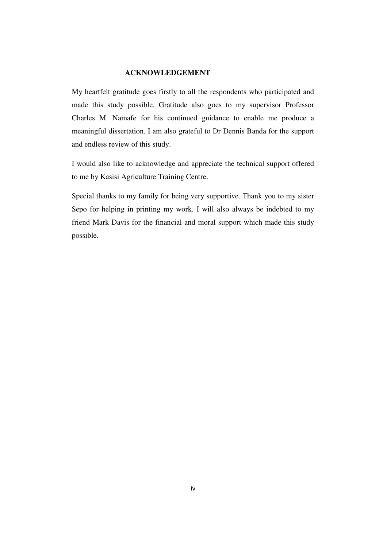## **ACKNOWLEDGEMENT**

My heartfelt gratitude goes firstly to all the respondents who participated and made this study possible. Gratitude also goes to my supervisor Professor Charles M. Namafe for his continued guidance to enable me produce a meaningful dissertation. I am also grateful to Dr Dennis Banda for the support and endless review of this study.

I would also like to acknowledge and appreciate the technical support offered to me by Kasisi Agriculture Training Centre.

Special thanks to my family for being very supportive. Thank you to my sister Sepo for helping in printing my work. I will also always be indebted to my friend Mark Davis for the financial and moral support which made this study possible.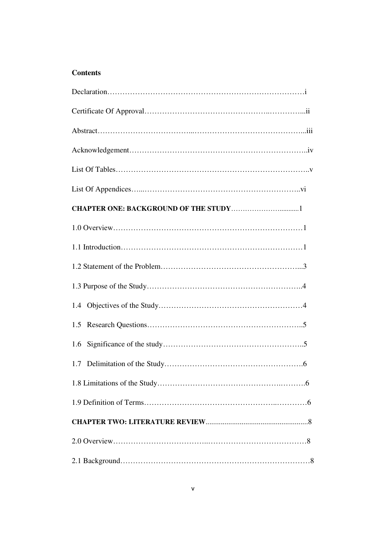## **Contents**

| 1.5 |
|-----|
| 1.6 |
|     |
|     |
|     |
|     |
|     |
|     |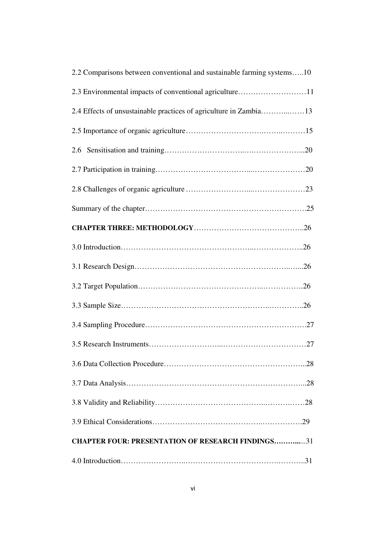| 2.2 Comparisons between conventional and sustainable farming systems10 |
|------------------------------------------------------------------------|
| 2.3 Environmental impacts of conventional agriculture11                |
| 2.4 Effects of unsustainable practices of agriculture in Zambia13      |
|                                                                        |
|                                                                        |
|                                                                        |
|                                                                        |
|                                                                        |
|                                                                        |
|                                                                        |
|                                                                        |
|                                                                        |
|                                                                        |
|                                                                        |
|                                                                        |
|                                                                        |
|                                                                        |
|                                                                        |
|                                                                        |
| <b>CHAPTER FOUR: PRESENTATION OF RESEARCH FINDINGS31</b>               |
|                                                                        |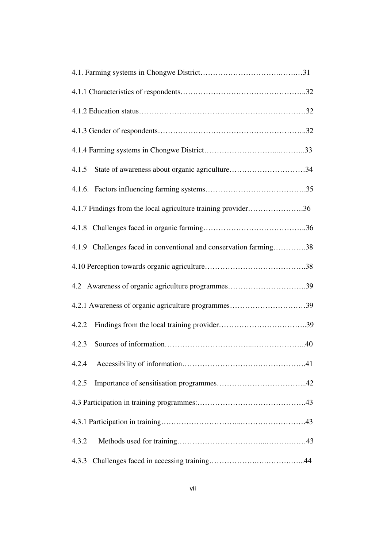| State of awareness about organic agriculture34<br>4.1.5           |  |  |  |
|-------------------------------------------------------------------|--|--|--|
|                                                                   |  |  |  |
| 4.1.7 Findings from the local agriculture training provider36     |  |  |  |
|                                                                   |  |  |  |
| 4.1.9 Challenges faced in conventional and conservation farming38 |  |  |  |
|                                                                   |  |  |  |
| 4.2 Awareness of organic agriculture programmes39                 |  |  |  |
| 4.2.1 Awareness of organic agriculture programmes39               |  |  |  |
| 4.2.2                                                             |  |  |  |
| 4.2.3                                                             |  |  |  |
| 4.2.4                                                             |  |  |  |
| 4.2.5                                                             |  |  |  |
|                                                                   |  |  |  |
|                                                                   |  |  |  |
| 4.3.2                                                             |  |  |  |
|                                                                   |  |  |  |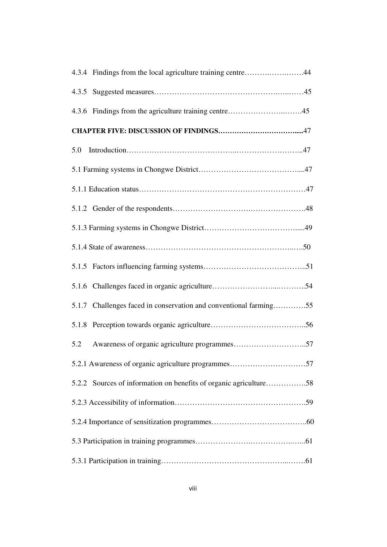| 5.0                                                               |  |  |  |
|-------------------------------------------------------------------|--|--|--|
|                                                                   |  |  |  |
|                                                                   |  |  |  |
|                                                                   |  |  |  |
|                                                                   |  |  |  |
|                                                                   |  |  |  |
|                                                                   |  |  |  |
|                                                                   |  |  |  |
| 5.1.7 Challenges faced in conservation and conventional farming55 |  |  |  |
|                                                                   |  |  |  |
| 5.2                                                               |  |  |  |
|                                                                   |  |  |  |
| 5.2.2 Sources of information on benefits of organic agriculture58 |  |  |  |
|                                                                   |  |  |  |
|                                                                   |  |  |  |
|                                                                   |  |  |  |
|                                                                   |  |  |  |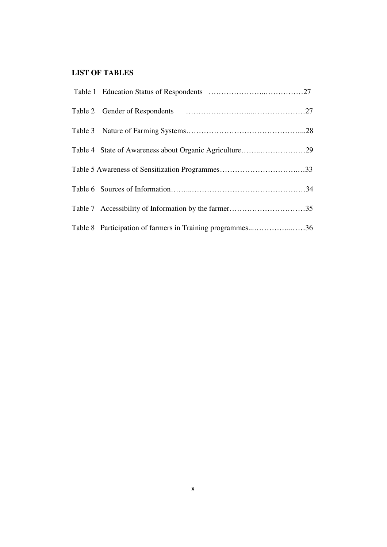## **LIST OF TABLES**

| Table 4 State of Awareness about Organic Agriculture29    |  |
|-----------------------------------------------------------|--|
|                                                           |  |
|                                                           |  |
| Table 7 Accessibility of Information by the farmer35      |  |
| Table 8 Participation of farmers in Training programmes36 |  |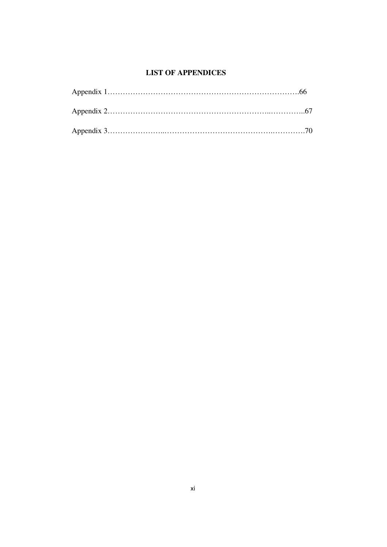## **LIST OF APPENDICES**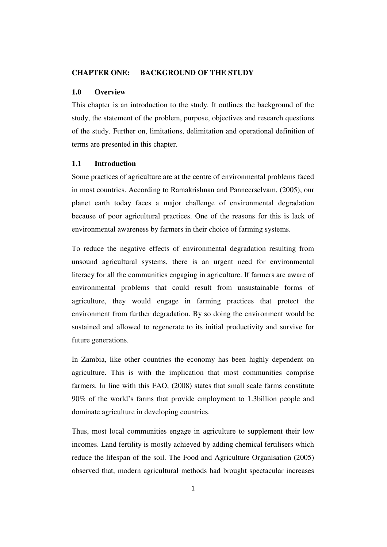#### **CHAPTER ONE: BACKGROUND OF THE STUDY**

#### **1.0 Overview**

This chapter is an introduction to the study. It outlines the background of the study, the statement of the problem, purpose, objectives and research questions of the study. Further on, limitations, delimitation and operational definition of terms are presented in this chapter.

### **1.1 Introduction**

Some practices of agriculture are at the centre of environmental problems faced in most countries. According to Ramakrishnan and Panneerselvam, (2005), our planet earth today faces a major challenge of environmental degradation because of poor agricultural practices. One of the reasons for this is lack of environmental awareness by farmers in their choice of farming systems.

To reduce the negative effects of environmental degradation resulting from unsound agricultural systems, there is an urgent need for environmental literacy for all the communities engaging in agriculture. If farmers are aware of environmental problems that could result from unsustainable forms of agriculture, they would engage in farming practices that protect the environment from further degradation. By so doing the environment would be sustained and allowed to regenerate to its initial productivity and survive for future generations.

In Zambia, like other countries the economy has been highly dependent on agriculture. This is with the implication that most communities comprise farmers. In line with this FAO, (2008) states that small scale farms constitute 90% of the world's farms that provide employment to 1.3billion people and dominate agriculture in developing countries.

Thus, most local communities engage in agriculture to supplement their low incomes. Land fertility is mostly achieved by adding chemical fertilisers which reduce the lifespan of the soil. The Food and Agriculture Organisation (2005) observed that, modern agricultural methods had brought spectacular increases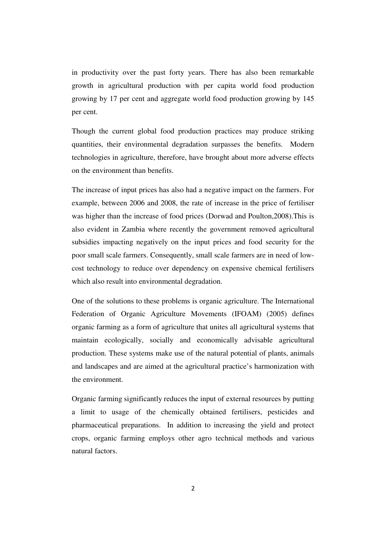in productivity over the past forty years. There has also been remarkable growth in agricultural production with per capita world food production growing by 17 per cent and aggregate world food production growing by 145 per cent.

Though the current global food production practices may produce striking quantities, their environmental degradation surpasses the benefits. Modern technologies in agriculture, therefore, have brought about more adverse effects on the environment than benefits.

The increase of input prices has also had a negative impact on the farmers. For example, between 2006 and 2008, the rate of increase in the price of fertiliser was higher than the increase of food prices (Dorwad and Poulton,2008).This is also evident in Zambia where recently the government removed agricultural subsidies impacting negatively on the input prices and food security for the poor small scale farmers. Consequently, small scale farmers are in need of lowcost technology to reduce over dependency on expensive chemical fertilisers which also result into environmental degradation.

One of the solutions to these problems is organic agriculture. The International Federation of Organic Agriculture Movements (IFOAM) (2005) defines organic farming as a form of agriculture that unites all agricultural systems that maintain ecologically, socially and economically advisable agricultural production. These systems make use of the natural potential of plants, animals and landscapes and are aimed at the agricultural practice's harmonization with the environment.

Organic farming significantly reduces the input of external resources by putting a limit to usage of the chemically obtained fertilisers, pesticides and pharmaceutical preparations. In addition to increasing the yield and protect crops, organic farming employs other agro technical methods and various natural factors.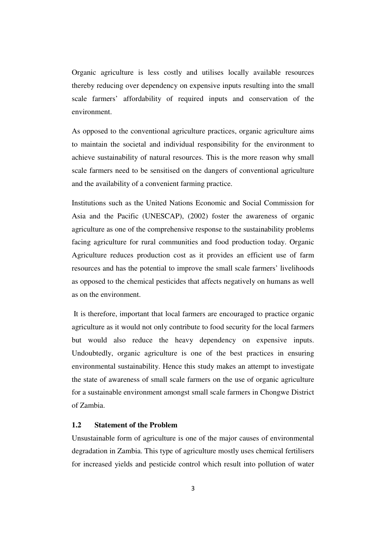Organic agriculture is less costly and utilises locally available resources thereby reducing over dependency on expensive inputs resulting into the small scale farmers' affordability of required inputs and conservation of the environment.

As opposed to the conventional agriculture practices, organic agriculture aims to maintain the societal and individual responsibility for the environment to achieve sustainability of natural resources. This is the more reason why small scale farmers need to be sensitised on the dangers of conventional agriculture and the availability of a convenient farming practice.

Institutions such as the United Nations Economic and Social Commission for Asia and the Pacific (UNESCAP), (2002) foster the awareness of organic agriculture as one of the comprehensive response to the sustainability problems facing agriculture for rural communities and food production today. Organic Agriculture reduces production cost as it provides an efficient use of farm resources and has the potential to improve the small scale farmers' livelihoods as opposed to the chemical pesticides that affects negatively on humans as well as on the environment.

 It is therefore, important that local farmers are encouraged to practice organic agriculture as it would not only contribute to food security for the local farmers but would also reduce the heavy dependency on expensive inputs. Undoubtedly, organic agriculture is one of the best practices in ensuring environmental sustainability. Hence this study makes an attempt to investigate the state of awareness of small scale farmers on the use of organic agriculture for a sustainable environment amongst small scale farmers in Chongwe District of Zambia.

#### **1.2 Statement of the Problem**

Unsustainable form of agriculture is one of the major causes of environmental degradation in Zambia. This type of agriculture mostly uses chemical fertilisers for increased yields and pesticide control which result into pollution of water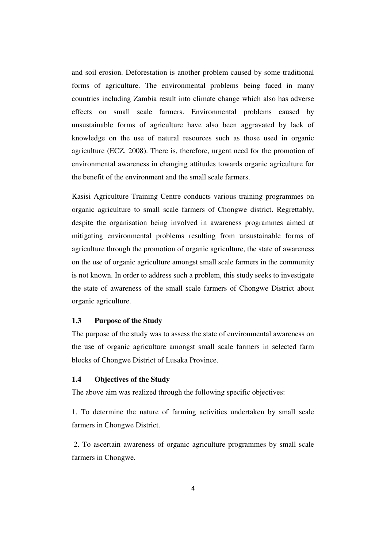and soil erosion. Deforestation is another problem caused by some traditional forms of agriculture. The environmental problems being faced in many countries including Zambia result into climate change which also has adverse effects on small scale farmers. Environmental problems caused by unsustainable forms of agriculture have also been aggravated by lack of knowledge on the use of natural resources such as those used in organic agriculture (ECZ, 2008). There is, therefore, urgent need for the promotion of environmental awareness in changing attitudes towards organic agriculture for the benefit of the environment and the small scale farmers.

Kasisi Agriculture Training Centre conducts various training programmes on organic agriculture to small scale farmers of Chongwe district. Regrettably, despite the organisation being involved in awareness programmes aimed at mitigating environmental problems resulting from unsustainable forms of agriculture through the promotion of organic agriculture, the state of awareness on the use of organic agriculture amongst small scale farmers in the community is not known. In order to address such a problem, this study seeks to investigate the state of awareness of the small scale farmers of Chongwe District about organic agriculture.

#### **1.3 Purpose of the Study**

The purpose of the study was to assess the state of environmental awareness on the use of organic agriculture amongst small scale farmers in selected farm blocks of Chongwe District of Lusaka Province.

#### **1.4 Objectives of the Study**

The above aim was realized through the following specific objectives:

1. To determine the nature of farming activities undertaken by small scale farmers in Chongwe District.

 2. To ascertain awareness of organic agriculture programmes by small scale farmers in Chongwe.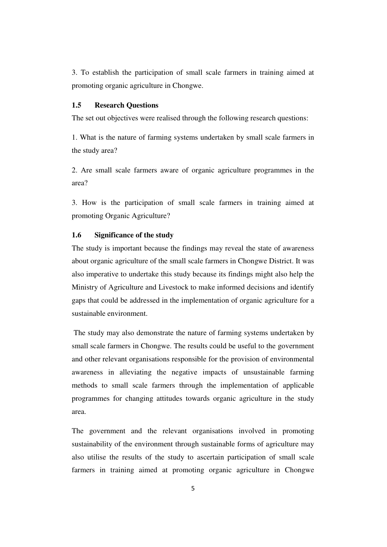3. To establish the participation of small scale farmers in training aimed at promoting organic agriculture in Chongwe.

## **1.5 Research Questions**

The set out objectives were realised through the following research questions:

1. What is the nature of farming systems undertaken by small scale farmers in the study area?

2. Are small scale farmers aware of organic agriculture programmes in the area?

3. How is the participation of small scale farmers in training aimed at promoting Organic Agriculture?

#### **1.6 Significance of the study**

The study is important because the findings may reveal the state of awareness about organic agriculture of the small scale farmers in Chongwe District. It was also imperative to undertake this study because its findings might also help the Ministry of Agriculture and Livestock to make informed decisions and identify gaps that could be addressed in the implementation of organic agriculture for a sustainable environment.

 The study may also demonstrate the nature of farming systems undertaken by small scale farmers in Chongwe. The results could be useful to the government and other relevant organisations responsible for the provision of environmental awareness in alleviating the negative impacts of unsustainable farming methods to small scale farmers through the implementation of applicable programmes for changing attitudes towards organic agriculture in the study area.

The government and the relevant organisations involved in promoting sustainability of the environment through sustainable forms of agriculture may also utilise the results of the study to ascertain participation of small scale farmers in training aimed at promoting organic agriculture in Chongwe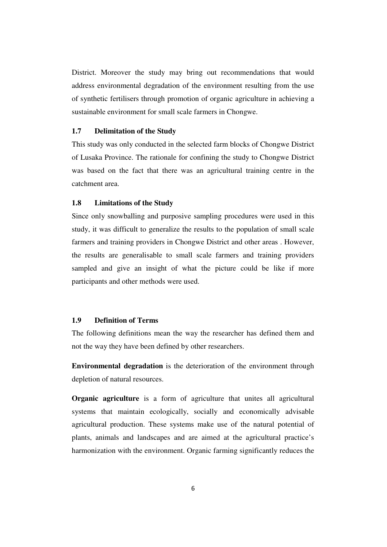District. Moreover the study may bring out recommendations that would address environmental degradation of the environment resulting from the use of synthetic fertilisers through promotion of organic agriculture in achieving a sustainable environment for small scale farmers in Chongwe.

### **1.7 Delimitation of the Study**

This study was only conducted in the selected farm blocks of Chongwe District of Lusaka Province. The rationale for confining the study to Chongwe District was based on the fact that there was an agricultural training centre in the catchment area.

## **1.8 Limitations of the Study**

Since only snowballing and purposive sampling procedures were used in this study, it was difficult to generalize the results to the population of small scale farmers and training providers in Chongwe District and other areas . However, the results are generalisable to small scale farmers and training providers sampled and give an insight of what the picture could be like if more participants and other methods were used.

## **1.9 Definition of Terms**

The following definitions mean the way the researcher has defined them and not the way they have been defined by other researchers.

**Environmental degradation** is the deterioration of the environment through depletion of natural resources.

**Organic agriculture** is a form of agriculture that unites all agricultural systems that maintain ecologically, socially and economically advisable agricultural production. These systems make use of the natural potential of plants, animals and landscapes and are aimed at the agricultural practice's harmonization with the environment. Organic farming significantly reduces the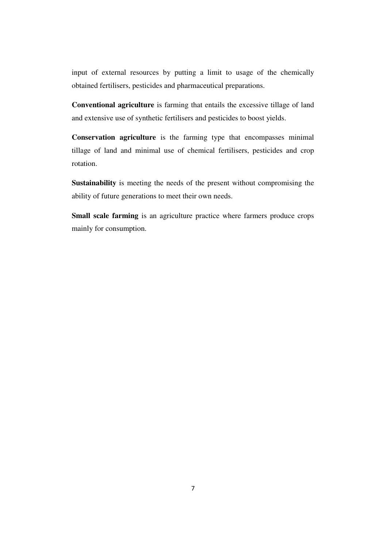input of external resources by putting a limit to usage of the chemically obtained fertilisers, pesticides and pharmaceutical preparations.

**Conventional agriculture** is farming that entails the excessive tillage of land and extensive use of synthetic fertilisers and pesticides to boost yields.

**Conservation agriculture** is the farming type that encompasses minimal tillage of land and minimal use of chemical fertilisers, pesticides and crop rotation.

**Sustainability** is meeting the needs of the present without compromising the ability of future generations to meet their own needs.

**Small scale farming** is an agriculture practice where farmers produce crops mainly for consumption.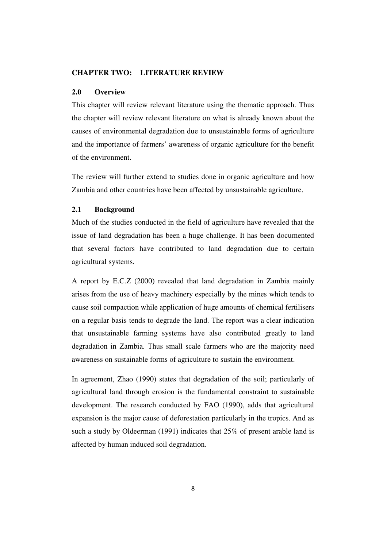#### **CHAPTER TWO: LITERATURE REVIEW**

#### **2.0 Overview**

This chapter will review relevant literature using the thematic approach. Thus the chapter will review relevant literature on what is already known about the causes of environmental degradation due to unsustainable forms of agriculture and the importance of farmers' awareness of organic agriculture for the benefit of the environment.

The review will further extend to studies done in organic agriculture and how Zambia and other countries have been affected by unsustainable agriculture.

## **2.1 Background**

Much of the studies conducted in the field of agriculture have revealed that the issue of land degradation has been a huge challenge. It has been documented that several factors have contributed to land degradation due to certain agricultural systems.

A report by E.C.Z (2000) revealed that land degradation in Zambia mainly arises from the use of heavy machinery especially by the mines which tends to cause soil compaction while application of huge amounts of chemical fertilisers on a regular basis tends to degrade the land. The report was a clear indication that unsustainable farming systems have also contributed greatly to land degradation in Zambia. Thus small scale farmers who are the majority need awareness on sustainable forms of agriculture to sustain the environment.

In agreement, Zhao (1990) states that degradation of the soil; particularly of agricultural land through erosion is the fundamental constraint to sustainable development. The research conducted by FAO (1990), adds that agricultural expansion is the major cause of deforestation particularly in the tropics. And as such a study by Oldeerman (1991) indicates that 25% of present arable land is affected by human induced soil degradation.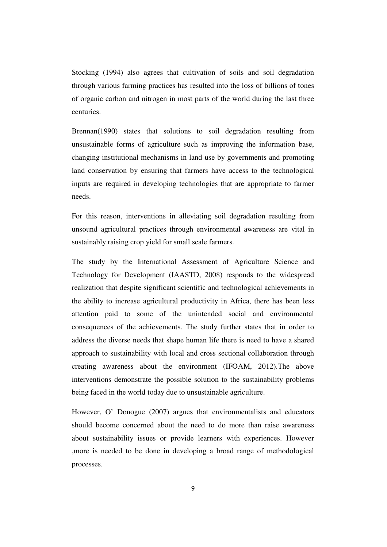Stocking (1994) also agrees that cultivation of soils and soil degradation through various farming practices has resulted into the loss of billions of tones of organic carbon and nitrogen in most parts of the world during the last three centuries.

Brennan(1990) states that solutions to soil degradation resulting from unsustainable forms of agriculture such as improving the information base, changing institutional mechanisms in land use by governments and promoting land conservation by ensuring that farmers have access to the technological inputs are required in developing technologies that are appropriate to farmer needs.

For this reason, interventions in alleviating soil degradation resulting from unsound agricultural practices through environmental awareness are vital in sustainably raising crop yield for small scale farmers.

The study by the International Assessment of Agriculture Science and Technology for Development (IAASTD, 2008) responds to the widespread realization that despite significant scientific and technological achievements in the ability to increase agricultural productivity in Africa, there has been less attention paid to some of the unintended social and environmental consequences of the achievements. The study further states that in order to address the diverse needs that shape human life there is need to have a shared approach to sustainability with local and cross sectional collaboration through creating awareness about the environment (IFOAM, 2012).The above interventions demonstrate the possible solution to the sustainability problems being faced in the world today due to unsustainable agriculture.

However, O' Donogue (2007) argues that environmentalists and educators should become concerned about the need to do more than raise awareness about sustainability issues or provide learners with experiences. However ,more is needed to be done in developing a broad range of methodological processes.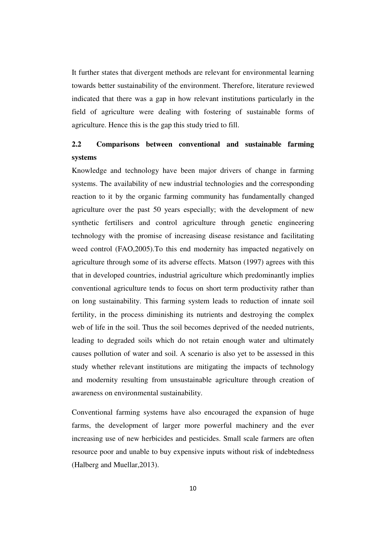It further states that divergent methods are relevant for environmental learning towards better sustainability of the environment. Therefore, literature reviewed indicated that there was a gap in how relevant institutions particularly in the field of agriculture were dealing with fostering of sustainable forms of agriculture. Hence this is the gap this study tried to fill.

## **2.2 Comparisons between conventional and sustainable farming systems**

Knowledge and technology have been major drivers of change in farming systems. The availability of new industrial technologies and the corresponding reaction to it by the organic farming community has fundamentally changed agriculture over the past 50 years especially; with the development of new synthetic fertilisers and control agriculture through genetic engineering technology with the promise of increasing disease resistance and facilitating weed control (FAO,2005).To this end modernity has impacted negatively on agriculture through some of its adverse effects. Matson (1997) agrees with this that in developed countries, industrial agriculture which predominantly implies conventional agriculture tends to focus on short term productivity rather than on long sustainability. This farming system leads to reduction of innate soil fertility, in the process diminishing its nutrients and destroying the complex web of life in the soil. Thus the soil becomes deprived of the needed nutrients, leading to degraded soils which do not retain enough water and ultimately causes pollution of water and soil. A scenario is also yet to be assessed in this study whether relevant institutions are mitigating the impacts of technology and modernity resulting from unsustainable agriculture through creation of awareness on environmental sustainability.

Conventional farming systems have also encouraged the expansion of huge farms, the development of larger more powerful machinery and the ever increasing use of new herbicides and pesticides. Small scale farmers are often resource poor and unable to buy expensive inputs without risk of indebtedness (Halberg and Muellar,2013).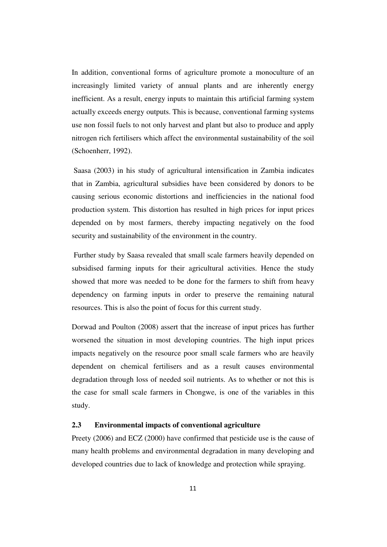In addition, conventional forms of agriculture promote a monoculture of an increasingly limited variety of annual plants and are inherently energy inefficient. As a result, energy inputs to maintain this artificial farming system actually exceeds energy outputs. This is because, conventional farming systems use non fossil fuels to not only harvest and plant but also to produce and apply nitrogen rich fertilisers which affect the environmental sustainability of the soil (Schoenherr, 1992).

 Saasa (2003) in his study of agricultural intensification in Zambia indicates that in Zambia, agricultural subsidies have been considered by donors to be causing serious economic distortions and inefficiencies in the national food production system. This distortion has resulted in high prices for input prices depended on by most farmers, thereby impacting negatively on the food security and sustainability of the environment in the country.

 Further study by Saasa revealed that small scale farmers heavily depended on subsidised farming inputs for their agricultural activities. Hence the study showed that more was needed to be done for the farmers to shift from heavy dependency on farming inputs in order to preserve the remaining natural resources. This is also the point of focus for this current study.

Dorwad and Poulton (2008) assert that the increase of input prices has further worsened the situation in most developing countries. The high input prices impacts negatively on the resource poor small scale farmers who are heavily dependent on chemical fertilisers and as a result causes environmental degradation through loss of needed soil nutrients. As to whether or not this is the case for small scale farmers in Chongwe, is one of the variables in this study.

#### **2.3 Environmental impacts of conventional agriculture**

Preety (2006) and ECZ (2000) have confirmed that pesticide use is the cause of many health problems and environmental degradation in many developing and developed countries due to lack of knowledge and protection while spraying.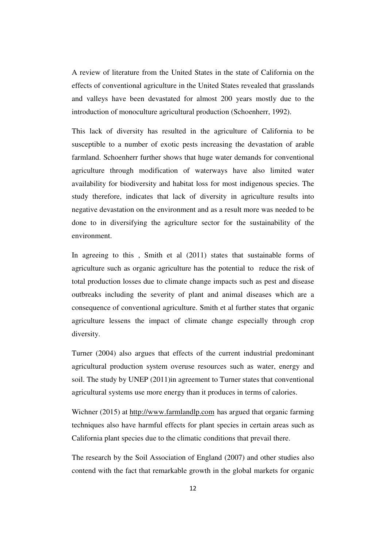A review of literature from the United States in the state of California on the effects of conventional agriculture in the United States revealed that grasslands and valleys have been devastated for almost 200 years mostly due to the introduction of monoculture agricultural production (Schoenherr, 1992).

This lack of diversity has resulted in the agriculture of California to be susceptible to a number of exotic pests increasing the devastation of arable farmland. Schoenherr further shows that huge water demands for conventional agriculture through modification of waterways have also limited water availability for biodiversity and habitat loss for most indigenous species. The study therefore, indicates that lack of diversity in agriculture results into negative devastation on the environment and as a result more was needed to be done to in diversifying the agriculture sector for the sustainability of the environment.

In agreeing to this , Smith et al (2011) states that sustainable forms of agriculture such as organic agriculture has the potential to reduce the risk of total production losses due to climate change impacts such as pest and disease outbreaks including the severity of plant and animal diseases which are a consequence of conventional agriculture. Smith et al further states that organic agriculture lessens the impact of climate change especially through crop diversity.

Turner (2004) also argues that effects of the current industrial predominant agricultural production system overuse resources such as water, energy and soil. The study by UNEP (2011)in agreement to Turner states that conventional agricultural systems use more energy than it produces in terms of calories.

Wichner (2015) at http://www.farmlandlp.com has argued that organic farming techniques also have harmful effects for plant species in certain areas such as California plant species due to the climatic conditions that prevail there.

The research by the Soil Association of England (2007) and other studies also contend with the fact that remarkable growth in the global markets for organic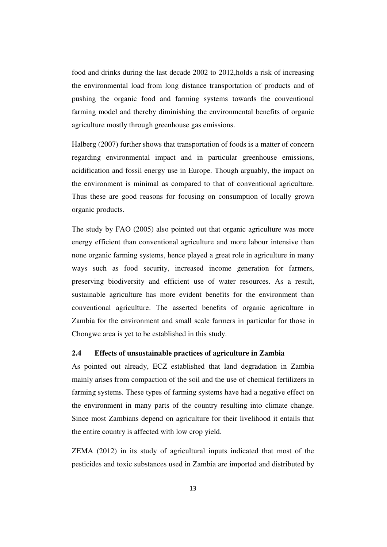food and drinks during the last decade 2002 to 2012,holds a risk of increasing the environmental load from long distance transportation of products and of pushing the organic food and farming systems towards the conventional farming model and thereby diminishing the environmental benefits of organic agriculture mostly through greenhouse gas emissions.

Halberg (2007) further shows that transportation of foods is a matter of concern regarding environmental impact and in particular greenhouse emissions, acidification and fossil energy use in Europe. Though arguably, the impact on the environment is minimal as compared to that of conventional agriculture. Thus these are good reasons for focusing on consumption of locally grown organic products.

The study by FAO (2005) also pointed out that organic agriculture was more energy efficient than conventional agriculture and more labour intensive than none organic farming systems, hence played a great role in agriculture in many ways such as food security, increased income generation for farmers, preserving biodiversity and efficient use of water resources. As a result, sustainable agriculture has more evident benefits for the environment than conventional agriculture. The asserted benefits of organic agriculture in Zambia for the environment and small scale farmers in particular for those in Chongwe area is yet to be established in this study.

## **2.4 Effects of unsustainable practices of agriculture in Zambia**

As pointed out already, ECZ established that land degradation in Zambia mainly arises from compaction of the soil and the use of chemical fertilizers in farming systems. These types of farming systems have had a negative effect on the environment in many parts of the country resulting into climate change. Since most Zambians depend on agriculture for their livelihood it entails that the entire country is affected with low crop yield.

ZEMA (2012) in its study of agricultural inputs indicated that most of the pesticides and toxic substances used in Zambia are imported and distributed by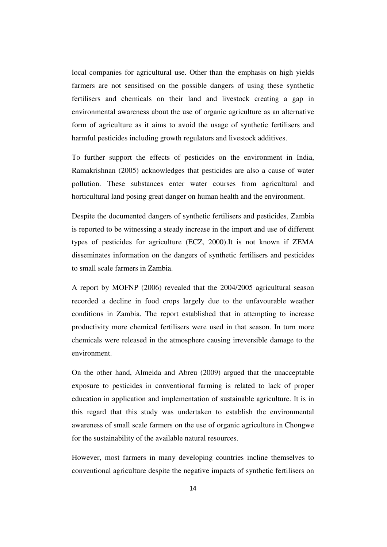local companies for agricultural use. Other than the emphasis on high yields farmers are not sensitised on the possible dangers of using these synthetic fertilisers and chemicals on their land and livestock creating a gap in environmental awareness about the use of organic agriculture as an alternative form of agriculture as it aims to avoid the usage of synthetic fertilisers and harmful pesticides including growth regulators and livestock additives.

To further support the effects of pesticides on the environment in India, Ramakrishnan (2005) acknowledges that pesticides are also a cause of water pollution. These substances enter water courses from agricultural and horticultural land posing great danger on human health and the environment.

Despite the documented dangers of synthetic fertilisers and pesticides, Zambia is reported to be witnessing a steady increase in the import and use of different types of pesticides for agriculture (ECZ, 2000).It is not known if ZEMA disseminates information on the dangers of synthetic fertilisers and pesticides to small scale farmers in Zambia.

A report by MOFNP (2006) revealed that the 2004/2005 agricultural season recorded a decline in food crops largely due to the unfavourable weather conditions in Zambia. The report established that in attempting to increase productivity more chemical fertilisers were used in that season. In turn more chemicals were released in the atmosphere causing irreversible damage to the environment.

On the other hand, Almeida and Abreu (2009) argued that the unacceptable exposure to pesticides in conventional farming is related to lack of proper education in application and implementation of sustainable agriculture. It is in this regard that this study was undertaken to establish the environmental awareness of small scale farmers on the use of organic agriculture in Chongwe for the sustainability of the available natural resources.

However, most farmers in many developing countries incline themselves to conventional agriculture despite the negative impacts of synthetic fertilisers on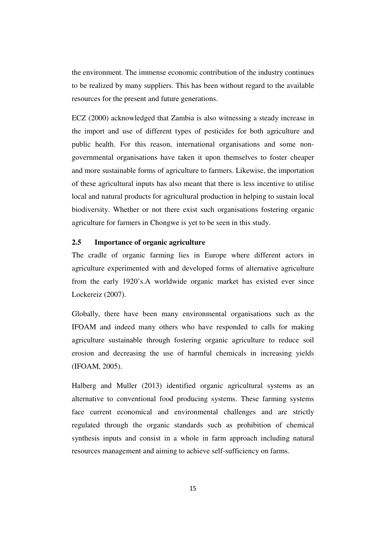the environment. The immense economic contribution of the industry continues to be realized by many suppliers. This has been without regard to the available resources for the present and future generations.

ECZ (2000) acknowledged that Zambia is also witnessing a steady increase in the import and use of different types of pesticides for both agriculture and public health. For this reason, international organisations and some nongovernmental organisations have taken it upon themselves to foster cheaper and more sustainable forms of agriculture to farmers. Likewise, the importation of these agricultural inputs has also meant that there is less incentive to utilise local and natural products for agricultural production in helping to sustain local biodiversity. Whether or not there exist such organisations fostering organic agriculture for farmers in Chongwe is yet to be seen in this study.

#### **2.5 Importance of organic agriculture**

The cradle of organic farming lies in Europe where different actors in agriculture experimented with and developed forms of alternative agriculture from the early 1920's.A worldwide organic market has existed ever since Lockereiz (2007).

Globally, there have been many environmental organisations such as the IFOAM and indeed many others who have responded to calls for making agriculture sustainable through fostering organic agriculture to reduce soil erosion and decreasing the use of harmful chemicals in increasing yields (IFOAM, 2005).

Halberg and Muller (2013) identified organic agricultural systems as an alternative to conventional food producing systems. These farming systems face current economical and environmental challenges and are strictly regulated through the organic standards such as prohibition of chemical synthesis inputs and consist in a whole in farm approach including natural resources management and aiming to achieve self-sufficiency on farms.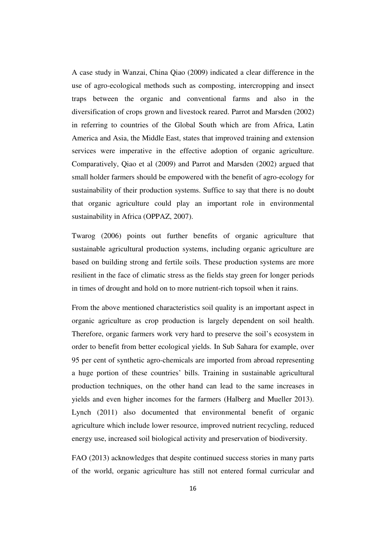A case study in Wanzai, China Qiao (2009) indicated a clear difference in the use of agro-ecological methods such as composting, intercropping and insect traps between the organic and conventional farms and also in the diversification of crops grown and livestock reared. Parrot and Marsden (2002) in referring to countries of the Global South which are from Africa, Latin America and Asia, the Middle East, states that improved training and extension services were imperative in the effective adoption of organic agriculture. Comparatively, Qiao et al (2009) and Parrot and Marsden (2002) argued that small holder farmers should be empowered with the benefit of agro-ecology for sustainability of their production systems. Suffice to say that there is no doubt that organic agriculture could play an important role in environmental sustainability in Africa (OPPAZ, 2007).

Twarog (2006) points out further benefits of organic agriculture that sustainable agricultural production systems, including organic agriculture are based on building strong and fertile soils. These production systems are more resilient in the face of climatic stress as the fields stay green for longer periods in times of drought and hold on to more nutrient-rich topsoil when it rains.

From the above mentioned characteristics soil quality is an important aspect in organic agriculture as crop production is largely dependent on soil health. Therefore, organic farmers work very hard to preserve the soil's ecosystem in order to benefit from better ecological yields. In Sub Sahara for example, over 95 per cent of synthetic agro-chemicals are imported from abroad representing a huge portion of these countries' bills. Training in sustainable agricultural production techniques, on the other hand can lead to the same increases in yields and even higher incomes for the farmers (Halberg and Mueller 2013). Lynch (2011) also documented that environmental benefit of organic agriculture which include lower resource, improved nutrient recycling, reduced energy use, increased soil biological activity and preservation of biodiversity.

FAO (2013) acknowledges that despite continued success stories in many parts of the world, organic agriculture has still not entered formal curricular and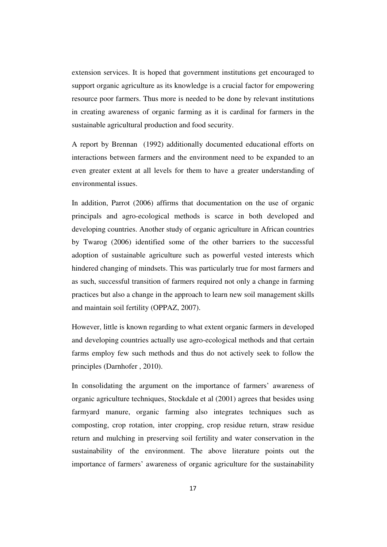extension services. It is hoped that government institutions get encouraged to support organic agriculture as its knowledge is a crucial factor for empowering resource poor farmers. Thus more is needed to be done by relevant institutions in creating awareness of organic farming as it is cardinal for farmers in the sustainable agricultural production and food security.

A report by Brennan (1992) additionally documented educational efforts on interactions between farmers and the environment need to be expanded to an even greater extent at all levels for them to have a greater understanding of environmental issues.

In addition, Parrot (2006) affirms that documentation on the use of organic principals and agro-ecological methods is scarce in both developed and developing countries. Another study of organic agriculture in African countries by Twarog (2006) identified some of the other barriers to the successful adoption of sustainable agriculture such as powerful vested interests which hindered changing of mindsets. This was particularly true for most farmers and as such, successful transition of farmers required not only a change in farming practices but also a change in the approach to learn new soil management skills and maintain soil fertility (OPPAZ, 2007).

However, little is known regarding to what extent organic farmers in developed and developing countries actually use agro-ecological methods and that certain farms employ few such methods and thus do not actively seek to follow the principles (Darnhofer , 2010).

In consolidating the argument on the importance of farmers' awareness of organic agriculture techniques, Stockdale et al (2001) agrees that besides using farmyard manure, organic farming also integrates techniques such as composting, crop rotation, inter cropping, crop residue return, straw residue return and mulching in preserving soil fertility and water conservation in the sustainability of the environment. The above literature points out the importance of farmers' awareness of organic agriculture for the sustainability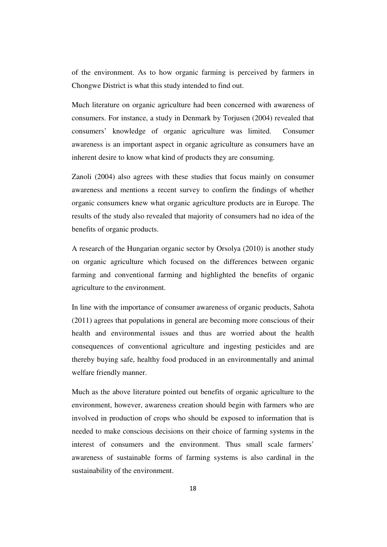of the environment. As to how organic farming is perceived by farmers in Chongwe District is what this study intended to find out.

Much literature on organic agriculture had been concerned with awareness of consumers. For instance, a study in Denmark by Torjusen (2004) revealed that consumers' knowledge of organic agriculture was limited. Consumer awareness is an important aspect in organic agriculture as consumers have an inherent desire to know what kind of products they are consuming.

Zanoli (2004) also agrees with these studies that focus mainly on consumer awareness and mentions a recent survey to confirm the findings of whether organic consumers knew what organic agriculture products are in Europe. The results of the study also revealed that majority of consumers had no idea of the benefits of organic products.

A research of the Hungarian organic sector by Orsolya (2010) is another study on organic agriculture which focused on the differences between organic farming and conventional farming and highlighted the benefits of organic agriculture to the environment.

In line with the importance of consumer awareness of organic products, Sahota (2011) agrees that populations in general are becoming more conscious of their health and environmental issues and thus are worried about the health consequences of conventional agriculture and ingesting pesticides and are thereby buying safe, healthy food produced in an environmentally and animal welfare friendly manner.

Much as the above literature pointed out benefits of organic agriculture to the environment, however, awareness creation should begin with farmers who are involved in production of crops who should be exposed to information that is needed to make conscious decisions on their choice of farming systems in the interest of consumers and the environment. Thus small scale farmers' awareness of sustainable forms of farming systems is also cardinal in the sustainability of the environment.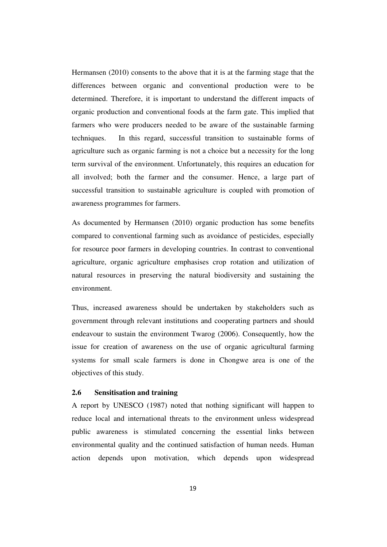Hermansen (2010) consents to the above that it is at the farming stage that the differences between organic and conventional production were to be determined. Therefore, it is important to understand the different impacts of organic production and conventional foods at the farm gate. This implied that farmers who were producers needed to be aware of the sustainable farming techniques. In this regard, successful transition to sustainable forms of agriculture such as organic farming is not a choice but a necessity for the long term survival of the environment. Unfortunately, this requires an education for all involved; both the farmer and the consumer. Hence, a large part of successful transition to sustainable agriculture is coupled with promotion of awareness programmes for farmers.

As documented by Hermansen (2010) organic production has some benefits compared to conventional farming such as avoidance of pesticides, especially for resource poor farmers in developing countries. In contrast to conventional agriculture, organic agriculture emphasises crop rotation and utilization of natural resources in preserving the natural biodiversity and sustaining the environment.

Thus, increased awareness should be undertaken by stakeholders such as government through relevant institutions and cooperating partners and should endeavour to sustain the environment Twarog (2006). Consequently, how the issue for creation of awareness on the use of organic agricultural farming systems for small scale farmers is done in Chongwe area is one of the objectives of this study.

### **2.6 Sensitisation and training**

A report by UNESCO (1987) noted that nothing significant will happen to reduce local and international threats to the environment unless widespread public awareness is stimulated concerning the essential links between environmental quality and the continued satisfaction of human needs. Human action depends upon motivation, which depends upon widespread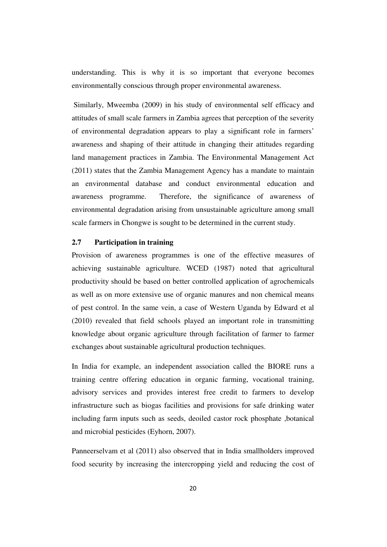understanding. This is why it is so important that everyone becomes environmentally conscious through proper environmental awareness.

 Similarly, Mweemba (2009) in his study of environmental self efficacy and attitudes of small scale farmers in Zambia agrees that perception of the severity of environmental degradation appears to play a significant role in farmers' awareness and shaping of their attitude in changing their attitudes regarding land management practices in Zambia. The Environmental Management Act (2011) states that the Zambia Management Agency has a mandate to maintain an environmental database and conduct environmental education and awareness programme. Therefore, the significance of awareness of environmental degradation arising from unsustainable agriculture among small scale farmers in Chongwe is sought to be determined in the current study.

#### **2.7 Participation in training**

Provision of awareness programmes is one of the effective measures of achieving sustainable agriculture. WCED (1987) noted that agricultural productivity should be based on better controlled application of agrochemicals as well as on more extensive use of organic manures and non chemical means of pest control. In the same vein, a case of Western Uganda by Edward et al (2010) revealed that field schools played an important role in transmitting knowledge about organic agriculture through facilitation of farmer to farmer exchanges about sustainable agricultural production techniques.

In India for example, an independent association called the BIORE runs a training centre offering education in organic farming, vocational training, advisory services and provides interest free credit to farmers to develop infrastructure such as biogas facilities and provisions for safe drinking water including farm inputs such as seeds, deoiled castor rock phosphate ,botanical and microbial pesticides (Eyhorn, 2007).

Panneerselvam et al (2011) also observed that in India smallholders improved food security by increasing the intercropping yield and reducing the cost of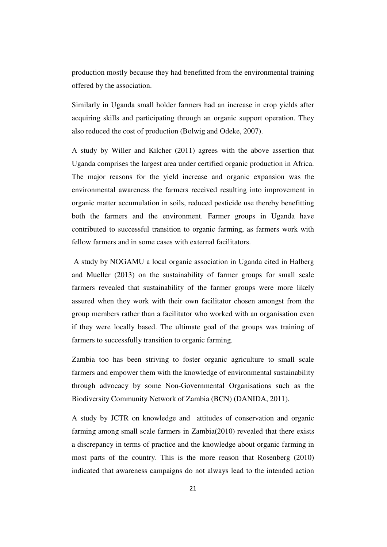production mostly because they had benefitted from the environmental training offered by the association.

Similarly in Uganda small holder farmers had an increase in crop yields after acquiring skills and participating through an organic support operation. They also reduced the cost of production (Bolwig and Odeke, 2007).

A study by Willer and Kilcher (2011) agrees with the above assertion that Uganda comprises the largest area under certified organic production in Africa. The major reasons for the yield increase and organic expansion was the environmental awareness the farmers received resulting into improvement in organic matter accumulation in soils, reduced pesticide use thereby benefitting both the farmers and the environment. Farmer groups in Uganda have contributed to successful transition to organic farming, as farmers work with fellow farmers and in some cases with external facilitators.

 A study by NOGAMU a local organic association in Uganda cited in Halberg and Mueller (2013) on the sustainability of farmer groups for small scale farmers revealed that sustainability of the farmer groups were more likely assured when they work with their own facilitator chosen amongst from the group members rather than a facilitator who worked with an organisation even if they were locally based. The ultimate goal of the groups was training of farmers to successfully transition to organic farming.

Zambia too has been striving to foster organic agriculture to small scale farmers and empower them with the knowledge of environmental sustainability through advocacy by some Non-Governmental Organisations such as the Biodiversity Community Network of Zambia (BCN) (DANIDA, 2011).

A study by JCTR on knowledge and attitudes of conservation and organic farming among small scale farmers in Zambia(2010) revealed that there exists a discrepancy in terms of practice and the knowledge about organic farming in most parts of the country. This is the more reason that Rosenberg (2010) indicated that awareness campaigns do not always lead to the intended action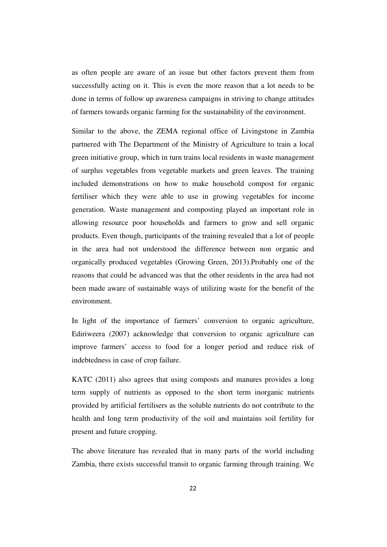as often people are aware of an issue but other factors prevent them from successfully acting on it. This is even the more reason that a lot needs to be done in terms of follow up awareness campaigns in striving to change attitudes of farmers towards organic farming for the sustainability of the environment.

Similar to the above, the ZEMA regional office of Livingstone in Zambia partnered with The Department of the Ministry of Agriculture to train a local green initiative group, which in turn trains local residents in waste management of surplus vegetables from vegetable markets and green leaves. The training included demonstrations on how to make household compost for organic fertiliser which they were able to use in growing vegetables for income generation. Waste management and composting played an important role in allowing resource poor households and farmers to grow and sell organic products. Even though, participants of the training revealed that a lot of people in the area had not understood the difference between non organic and organically produced vegetables (Growing Green, 2013).Probably one of the reasons that could be advanced was that the other residents in the area had not been made aware of sustainable ways of utilizing waste for the benefit of the environment.

In light of the importance of farmers' conversion to organic agriculture, Ediriweera (2007) acknowledge that conversion to organic agriculture can improve farmers' access to food for a longer period and reduce risk of indebtedness in case of crop failure.

KATC (2011) also agrees that using composts and manures provides a long term supply of nutrients as opposed to the short term inorganic nutrients provided by artificial fertilisers as the soluble nutrients do not contribute to the health and long term productivity of the soil and maintains soil fertility for present and future cropping.

The above literature has revealed that in many parts of the world including Zambia, there exists successful transit to organic farming through training. We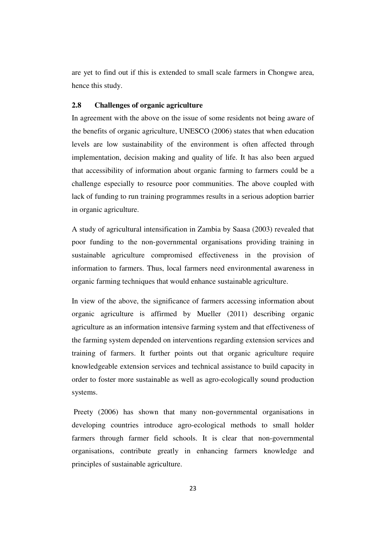are yet to find out if this is extended to small scale farmers in Chongwe area, hence this study.

## **2.8 Challenges of organic agriculture**

In agreement with the above on the issue of some residents not being aware of the benefits of organic agriculture, UNESCO (2006) states that when education levels are low sustainability of the environment is often affected through implementation, decision making and quality of life. It has also been argued that accessibility of information about organic farming to farmers could be a challenge especially to resource poor communities. The above coupled with lack of funding to run training programmes results in a serious adoption barrier in organic agriculture.

A study of agricultural intensification in Zambia by Saasa (2003) revealed that poor funding to the non-governmental organisations providing training in sustainable agriculture compromised effectiveness in the provision of information to farmers. Thus, local farmers need environmental awareness in organic farming techniques that would enhance sustainable agriculture.

In view of the above, the significance of farmers accessing information about organic agriculture is affirmed by Mueller (2011) describing organic agriculture as an information intensive farming system and that effectiveness of the farming system depended on interventions regarding extension services and training of farmers. It further points out that organic agriculture require knowledgeable extension services and technical assistance to build capacity in order to foster more sustainable as well as agro-ecologically sound production systems.

Preety (2006) has shown that many non-governmental organisations in developing countries introduce agro-ecological methods to small holder farmers through farmer field schools. It is clear that non-governmental organisations, contribute greatly in enhancing farmers knowledge and principles of sustainable agriculture.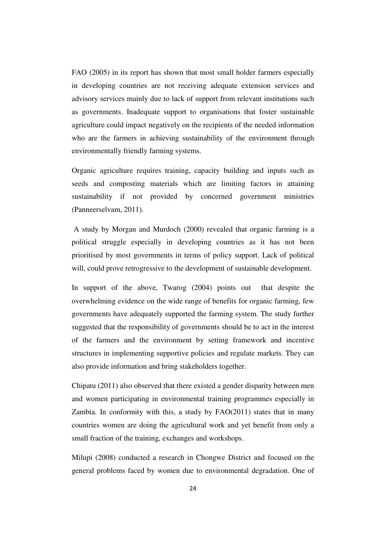FAO (2005) in its report has shown that most small holder farmers especially in developing countries are not receiving adequate extension services and advisory services mainly due to lack of support from relevant institutions such as governments. Inadequate support to organisations that foster sustainable agriculture could impact negatively on the recipients of the needed information who are the farmers in achieving sustainability of the environment through environmentally friendly farming systems.

Organic agriculture requires training, capacity building and inputs such as seeds and composting materials which are limiting factors in attaining sustainability if not provided by concerned government ministries (Panneerselvam, 2011).

 A study by Morgan and Murdoch (2000) revealed that organic farming is a political struggle especially in developing countries as it has not been prioritised by most governments in terms of policy support. Lack of political will, could prove retrogressive to the development of sustainable development.

In support of the above, Twarog (2004) points out that despite the overwhelming evidence on the wide range of benefits for organic farming, few governments have adequately supported the farming system. The study further suggested that the responsibility of governments should be to act in the interest of the farmers and the environment by setting framework and incentive structures in implementing supportive policies and regulate markets. They can also provide information and bring stakeholders together.

Chipatu (2011) also observed that there existed a gender disparity between men and women participating in environmental training programmes especially in Zambia. In conformity with this, a study by FAO(2011) states that in many countries women are doing the agricultural work and yet benefit from only a small fraction of the training, exchanges and workshops.

Milupi (2008) conducted a research in Chongwe District and focused on the general problems faced by women due to environmental degradation. One of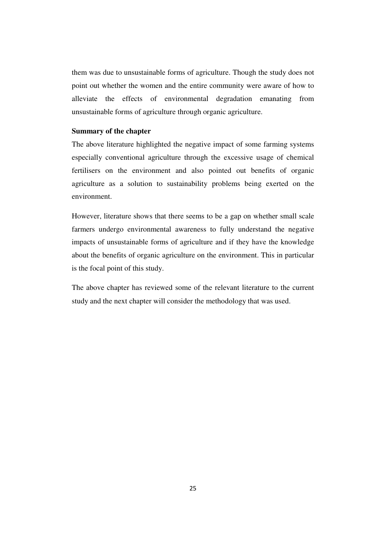them was due to unsustainable forms of agriculture. Though the study does not point out whether the women and the entire community were aware of how to alleviate the effects of environmental degradation emanating from unsustainable forms of agriculture through organic agriculture.

### **Summary of the chapter**

The above literature highlighted the negative impact of some farming systems especially conventional agriculture through the excessive usage of chemical fertilisers on the environment and also pointed out benefits of organic agriculture as a solution to sustainability problems being exerted on the environment.

However, literature shows that there seems to be a gap on whether small scale farmers undergo environmental awareness to fully understand the negative impacts of unsustainable forms of agriculture and if they have the knowledge about the benefits of organic agriculture on the environment. This in particular is the focal point of this study.

The above chapter has reviewed some of the relevant literature to the current study and the next chapter will consider the methodology that was used.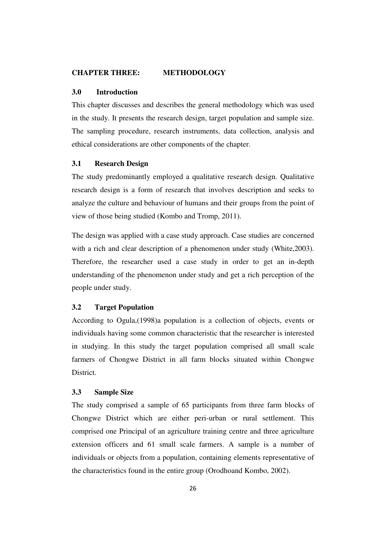#### **CHAPTER THREE: METHODOLOGY**

# **3.0 Introduction**

This chapter discusses and describes the general methodology which was used in the study. It presents the research design, target population and sample size. The sampling procedure, research instruments, data collection, analysis and ethical considerations are other components of the chapter.

# **3.1 Research Design**

The study predominantly employed a qualitative research design. Qualitative research design is a form of research that involves description and seeks to analyze the culture and behaviour of humans and their groups from the point of view of those being studied (Kombo and Tromp, 2011).

The design was applied with a case study approach. Case studies are concerned with a rich and clear description of a phenomenon under study (White, 2003). Therefore, the researcher used a case study in order to get an in-depth understanding of the phenomenon under study and get a rich perception of the people under study.

# **3.2 Target Population**

According to Ogula,(1998)a population is a collection of objects, events or individuals having some common characteristic that the researcher is interested in studying. In this study the target population comprised all small scale farmers of Chongwe District in all farm blocks situated within Chongwe **District** 

#### **3.3 Sample Size**

The study comprised a sample of 65 participants from three farm blocks of Chongwe District which are either peri-urban or rural settlement. This comprised one Principal of an agriculture training centre and three agriculture extension officers and 61 small scale farmers. A sample is a number of individuals or objects from a population, containing elements representative of the characteristics found in the entire group (Orodhoand Kombo, 2002).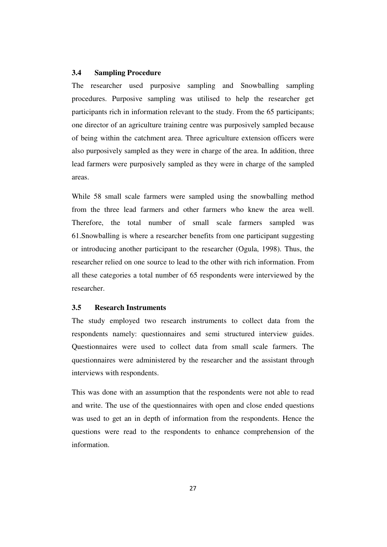### **3.4 Sampling Procedure**

The researcher used purposive sampling and Snowballing sampling procedures. Purposive sampling was utilised to help the researcher get participants rich in information relevant to the study. From the 65 participants; one director of an agriculture training centre was purposively sampled because of being within the catchment area. Three agriculture extension officers were also purposively sampled as they were in charge of the area. In addition, three lead farmers were purposively sampled as they were in charge of the sampled areas.

While 58 small scale farmers were sampled using the snowballing method from the three lead farmers and other farmers who knew the area well. Therefore, the total number of small scale farmers sampled was 61.Snowballing is where a researcher benefits from one participant suggesting or introducing another participant to the researcher (Ogula, 1998). Thus, the researcher relied on one source to lead to the other with rich information. From all these categories a total number of 65 respondents were interviewed by the researcher.

# **3.5 Research Instruments**

The study employed two research instruments to collect data from the respondents namely: questionnaires and semi structured interview guides. Questionnaires were used to collect data from small scale farmers. The questionnaires were administered by the researcher and the assistant through interviews with respondents.

This was done with an assumption that the respondents were not able to read and write. The use of the questionnaires with open and close ended questions was used to get an in depth of information from the respondents. Hence the questions were read to the respondents to enhance comprehension of the information.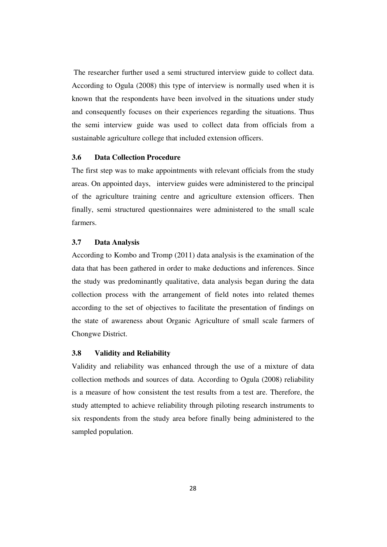The researcher further used a semi structured interview guide to collect data. According to Ogula (2008) this type of interview is normally used when it is known that the respondents have been involved in the situations under study and consequently focuses on their experiences regarding the situations. Thus the semi interview guide was used to collect data from officials from a sustainable agriculture college that included extension officers.

#### **3.6 Data Collection Procedure**

The first step was to make appointments with relevant officials from the study areas. On appointed days, interview guides were administered to the principal of the agriculture training centre and agriculture extension officers. Then finally, semi structured questionnaires were administered to the small scale farmers.

# **3.7 Data Analysis**

According to Kombo and Tromp (2011) data analysis is the examination of the data that has been gathered in order to make deductions and inferences. Since the study was predominantly qualitative, data analysis began during the data collection process with the arrangement of field notes into related themes according to the set of objectives to facilitate the presentation of findings on the state of awareness about Organic Agriculture of small scale farmers of Chongwe District.

# **3.8 Validity and Reliability**

Validity and reliability was enhanced through the use of a mixture of data collection methods and sources of data. According to Ogula (2008) reliability is a measure of how consistent the test results from a test are. Therefore, the study attempted to achieve reliability through piloting research instruments to six respondents from the study area before finally being administered to the sampled population.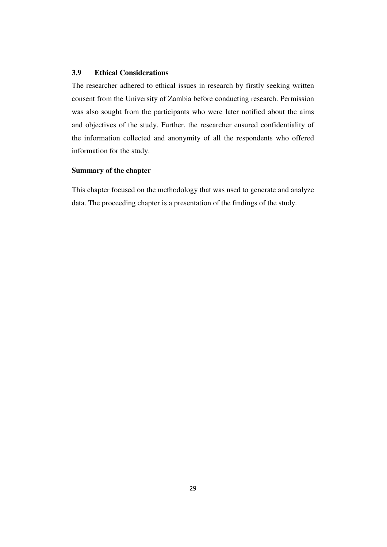# **3.9 Ethical Considerations**

The researcher adhered to ethical issues in research by firstly seeking written consent from the University of Zambia before conducting research. Permission was also sought from the participants who were later notified about the aims and objectives of the study. Further, the researcher ensured confidentiality of the information collected and anonymity of all the respondents who offered information for the study.

# **Summary of the chapter**

This chapter focused on the methodology that was used to generate and analyze data. The proceeding chapter is a presentation of the findings of the study.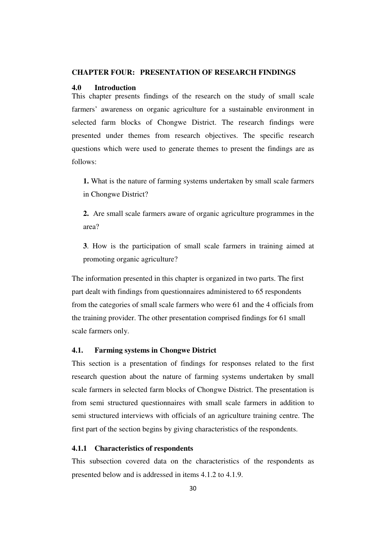#### **CHAPTER FOUR: PRESENTATION OF RESEARCH FINDINGS**

#### **4.0 Introduction**

This chapter presents findings of the research on the study of small scale farmers' awareness on organic agriculture for a sustainable environment in selected farm blocks of Chongwe District. The research findings were presented under themes from research objectives. The specific research questions which were used to generate themes to present the findings are as follows:

**1.** What is the nature of farming systems undertaken by small scale farmers in Chongwe District?

**2.** Are small scale farmers aware of organic agriculture programmes in the area?

**3**. How is the participation of small scale farmers in training aimed at promoting organic agriculture?

The information presented in this chapter is organized in two parts. The first part dealt with findings from questionnaires administered to 65 respondents from the categories of small scale farmers who were 61 and the 4 officials from the training provider. The other presentation comprised findings for 61 small scale farmers only.

## **4.1. Farming systems in Chongwe District**

This section is a presentation of findings for responses related to the first research question about the nature of farming systems undertaken by small scale farmers in selected farm blocks of Chongwe District. The presentation is from semi structured questionnaires with small scale farmers in addition to semi structured interviews with officials of an agriculture training centre. The first part of the section begins by giving characteristics of the respondents.

### **4.1.1 Characteristics of respondents**

This subsection covered data on the characteristics of the respondents as presented below and is addressed in items 4.1.2 to 4.1.9.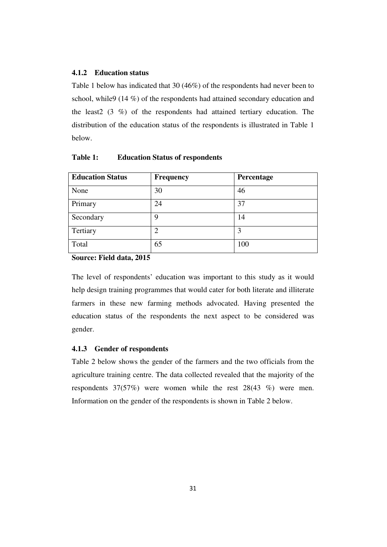# **4.1.2 Education status**

Table 1 below has indicated that 30 (46%) of the respondents had never been to school, while9 (14 %) of the respondents had attained secondary education and the least2 (3 %) of the respondents had attained tertiary education. The distribution of the education status of the respondents is illustrated in Table 1 below.

| <b>Education Status</b> | <b>Frequency</b> | Percentage |
|-------------------------|------------------|------------|
| None                    | 30               | 46         |
| Primary                 | 24               | 37         |
| Secondary               | 9                | 14         |
| Tertiary                | 2                | 3          |
| Total                   | 65               | 100        |

# **Table 1: Education Status of respondents**

**Source: Field data, 2015** 

The level of respondents' education was important to this study as it would help design training programmes that would cater for both literate and illiterate farmers in these new farming methods advocated. Having presented the education status of the respondents the next aspect to be considered was gender.

# **4.1.3 Gender of respondents**

Table 2 below shows the gender of the farmers and the two officials from the agriculture training centre. The data collected revealed that the majority of the respondents 37(57%) were women while the rest 28(43 %) were men. Information on the gender of the respondents is shown in Table 2 below.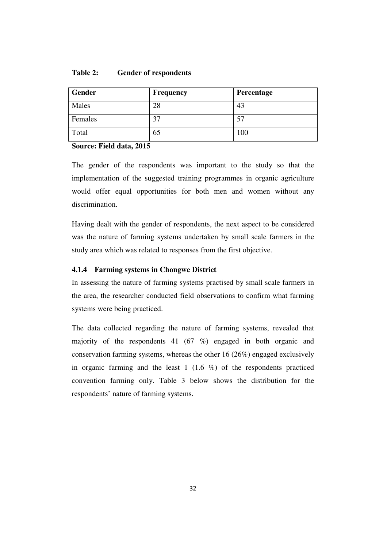| Table 2:<br><b>Gender of respondents</b> |
|------------------------------------------|
|------------------------------------------|

| <b>Gender</b> | <b>Frequency</b> | Percentage |
|---------------|------------------|------------|
| Males         | 28               | 43         |
| Females       | 37               | 57         |
| Total         | 65               | 100        |

# **Source: Field data, 2015**

The gender of the respondents was important to the study so that the implementation of the suggested training programmes in organic agriculture would offer equal opportunities for both men and women without any discrimination.

Having dealt with the gender of respondents, the next aspect to be considered was the nature of farming systems undertaken by small scale farmers in the study area which was related to responses from the first objective.

### **4.1.4 Farming systems in Chongwe District**

In assessing the nature of farming systems practised by small scale farmers in the area, the researcher conducted field observations to confirm what farming systems were being practiced.

The data collected regarding the nature of farming systems, revealed that majority of the respondents 41 (67 %) engaged in both organic and conservation farming systems, whereas the other 16 (26%) engaged exclusively in organic farming and the least 1 (1.6 %) of the respondents practiced convention farming only. Table 3 below shows the distribution for the respondents' nature of farming systems.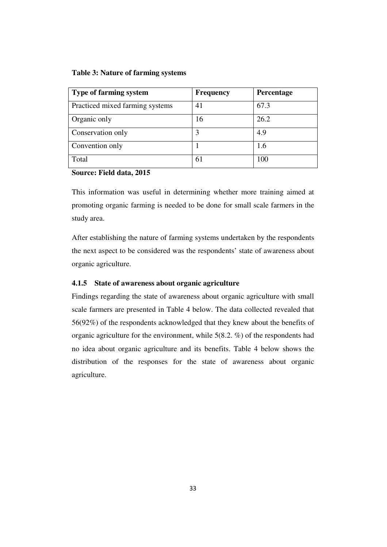### **Table 3: Nature of farming systems**

| <b>Type of farming system</b>   | <b>Frequency</b> | Percentage |
|---------------------------------|------------------|------------|
| Practiced mixed farming systems | 41               | 67.3       |
| Organic only                    | 16               | 26.2       |
| Conservation only               | 3                | 4.9        |
| Convention only                 |                  | 1.6        |
| Total                           | 61               | 100        |

# **Source: Field data, 2015**

This information was useful in determining whether more training aimed at promoting organic farming is needed to be done for small scale farmers in the study area.

After establishing the nature of farming systems undertaken by the respondents the next aspect to be considered was the respondents' state of awareness about organic agriculture.

# **4.1.5 State of awareness about organic agriculture**

Findings regarding the state of awareness about organic agriculture with small scale farmers are presented in Table 4 below. The data collected revealed that 56(92%) of the respondents acknowledged that they knew about the benefits of organic agriculture for the environment, while 5(8.2. %) of the respondents had no idea about organic agriculture and its benefits. Table 4 below shows the distribution of the responses for the state of awareness about organic agriculture.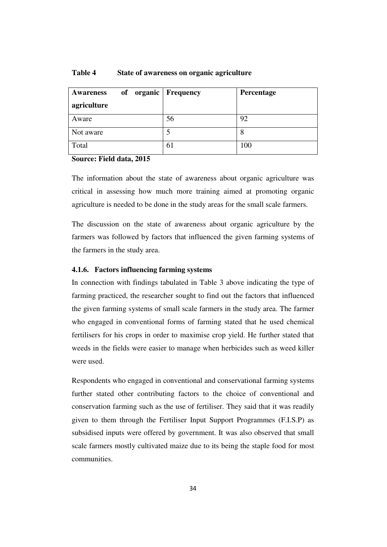| of organic Frequency<br><b>Awareness</b> |    | <b>Percentage</b> |
|------------------------------------------|----|-------------------|
| agriculture                              |    |                   |
| Aware                                    | 56 | 92                |
| Not aware                                |    | 8                 |
| Total                                    | 61 | 100               |

### **Table 4 State of awareness on organic agriculture**

#### **Source: Field data, 2015**

The information about the state of awareness about organic agriculture was critical in assessing how much more training aimed at promoting organic agriculture is needed to be done in the study areas for the small scale farmers.

The discussion on the state of awareness about organic agriculture by the farmers was followed by factors that influenced the given farming systems of the farmers in the study area.

### **4.1.6. Factors influencing farming systems**

In connection with findings tabulated in Table 3 above indicating the type of farming practiced, the researcher sought to find out the factors that influenced the given farming systems of small scale farmers in the study area. The farmer who engaged in conventional forms of farming stated that he used chemical fertilisers for his crops in order to maximise crop yield. He further stated that weeds in the fields were easier to manage when herbicides such as weed killer were used.

Respondents who engaged in conventional and conservational farming systems further stated other contributing factors to the choice of conventional and conservation farming such as the use of fertiliser. They said that it was readily given to them through the Fertiliser Input Support Programmes (F.I.S.P) as subsidised inputs were offered by government. It was also observed that small scale farmers mostly cultivated maize due to its being the staple food for most communities.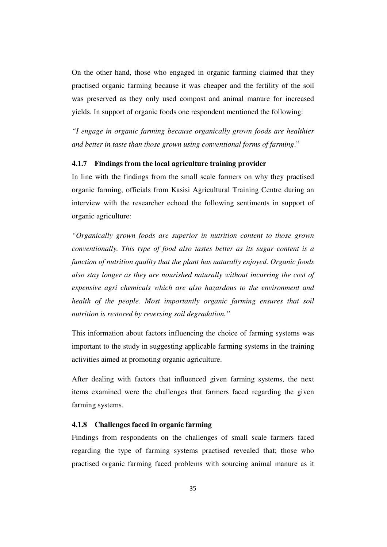On the other hand, those who engaged in organic farming claimed that they practised organic farming because it was cheaper and the fertility of the soil was preserved as they only used compost and animal manure for increased yields. In support of organic foods one respondent mentioned the following:

*"I engage in organic farming because organically grown foods are healthier and better in taste than those grown using conventional forms of farming*."

### **4.1.7 Findings from the local agriculture training provider**

In line with the findings from the small scale farmers on why they practised organic farming, officials from Kasisi Agricultural Training Centre during an interview with the researcher echoed the following sentiments in support of organic agriculture:

*"Organically grown foods are superior in nutrition content to those grown conventionally. This type of food also tastes better as its sugar content is a function of nutrition quality that the plant has naturally enjoyed. Organic foods also stay longer as they are nourished naturally without incurring the cost of expensive agri chemicals which are also hazardous to the environment and health of the people. Most importantly organic farming ensures that soil nutrition is restored by reversing soil degradation."* 

This information about factors influencing the choice of farming systems was important to the study in suggesting applicable farming systems in the training activities aimed at promoting organic agriculture.

After dealing with factors that influenced given farming systems, the next items examined were the challenges that farmers faced regarding the given farming systems.

# **4.1.8 Challenges faced in organic farming**

Findings from respondents on the challenges of small scale farmers faced regarding the type of farming systems practised revealed that; those who practised organic farming faced problems with sourcing animal manure as it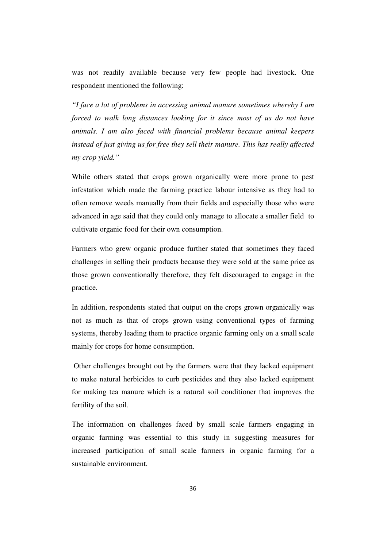was not readily available because very few people had livestock. One respondent mentioned the following:

*"I face a lot of problems in accessing animal manure sometimes whereby I am forced to walk long distances looking for it since most of us do not have animals. I am also faced with financial problems because animal keepers instead of just giving us for free they sell their manure. This has really affected my crop yield."* 

While others stated that crops grown organically were more prone to pest infestation which made the farming practice labour intensive as they had to often remove weeds manually from their fields and especially those who were advanced in age said that they could only manage to allocate a smaller field to cultivate organic food for their own consumption.

Farmers who grew organic produce further stated that sometimes they faced challenges in selling their products because they were sold at the same price as those grown conventionally therefore, they felt discouraged to engage in the practice.

In addition, respondents stated that output on the crops grown organically was not as much as that of crops grown using conventional types of farming systems, thereby leading them to practice organic farming only on a small scale mainly for crops for home consumption.

 Other challenges brought out by the farmers were that they lacked equipment to make natural herbicides to curb pesticides and they also lacked equipment for making tea manure which is a natural soil conditioner that improves the fertility of the soil.

The information on challenges faced by small scale farmers engaging in organic farming was essential to this study in suggesting measures for increased participation of small scale farmers in organic farming for a sustainable environment.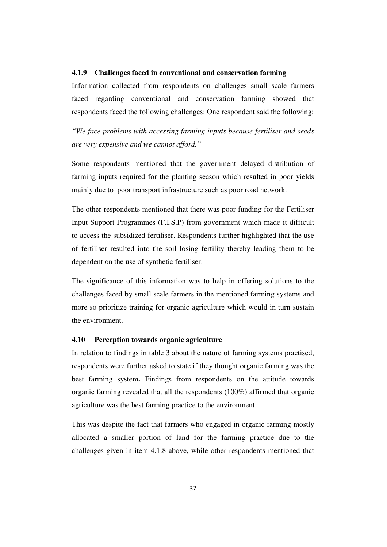#### **4.1.9 Challenges faced in conventional and conservation farming**

Information collected from respondents on challenges small scale farmers faced regarding conventional and conservation farming showed that respondents faced the following challenges: One respondent said the following:

*"We face problems with accessing farming inputs because fertiliser and seeds are very expensive and we cannot afford."* 

Some respondents mentioned that the government delayed distribution of farming inputs required for the planting season which resulted in poor yields mainly due to poor transport infrastructure such as poor road network.

The other respondents mentioned that there was poor funding for the Fertiliser Input Support Programmes (F.I.S.P) from government which made it difficult to access the subsidized fertiliser. Respondents further highlighted that the use of fertiliser resulted into the soil losing fertility thereby leading them to be dependent on the use of synthetic fertiliser.

The significance of this information was to help in offering solutions to the challenges faced by small scale farmers in the mentioned farming systems and more so prioritize training for organic agriculture which would in turn sustain the environment.

## **4.10 Perception towards organic agriculture**

In relation to findings in table 3 about the nature of farming systems practised, respondents were further asked to state if they thought organic farming was the best farming system**.** Findings from respondents on the attitude towards organic farming revealed that all the respondents (100%) affirmed that organic agriculture was the best farming practice to the environment.

This was despite the fact that farmers who engaged in organic farming mostly allocated a smaller portion of land for the farming practice due to the challenges given in item 4.1.8 above, while other respondents mentioned that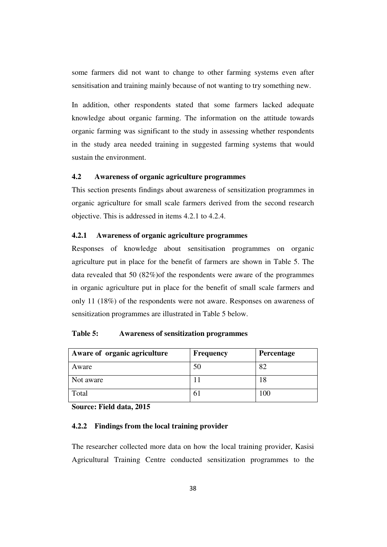some farmers did not want to change to other farming systems even after sensitisation and training mainly because of not wanting to try something new.

In addition, other respondents stated that some farmers lacked adequate knowledge about organic farming. The information on the attitude towards organic farming was significant to the study in assessing whether respondents in the study area needed training in suggested farming systems that would sustain the environment.

# **4.2 Awareness of organic agriculture programmes**

This section presents findings about awareness of sensitization programmes in organic agriculture for small scale farmers derived from the second research objective. This is addressed in items 4.2.1 to 4.2.4.

# **4.2.1 Awareness of organic agriculture programmes**

Responses of knowledge about sensitisation programmes on organic agriculture put in place for the benefit of farmers are shown in Table 5. The data revealed that 50 (82%)of the respondents were aware of the programmes in organic agriculture put in place for the benefit of small scale farmers and only 11 (18%) of the respondents were not aware. Responses on awareness of sensitization programmes are illustrated in Table 5 below.

| Table 5: |  | <b>Awareness of sensitization programmes</b> |  |
|----------|--|----------------------------------------------|--|
|----------|--|----------------------------------------------|--|

| Aware of organic agriculture | <b>Frequency</b> | <b>Percentage</b> |
|------------------------------|------------------|-------------------|
| Aware                        | 50               | 82                |
| Not aware                    |                  | 18                |
| Total                        | 61               | 100               |

**Source: Field data, 2015** 

# **4.2.2 Findings from the local training provider**

The researcher collected more data on how the local training provider, Kasisi Agricultural Training Centre conducted sensitization programmes to the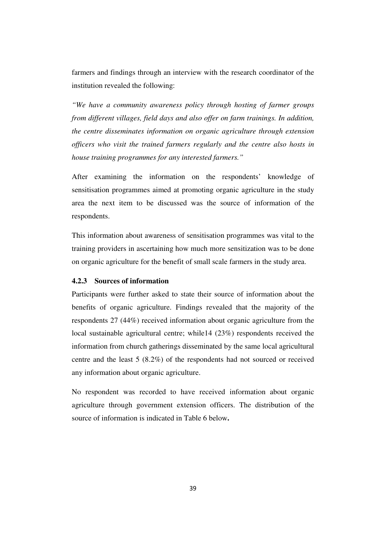farmers and findings through an interview with the research coordinator of the institution revealed the following:

*"We have a community awareness policy through hosting of farmer groups from different villages, field days and also offer on farm trainings. In addition, the centre disseminates information on organic agriculture through extension officers who visit the trained farmers regularly and the centre also hosts in house training programmes for any interested farmers."* 

After examining the information on the respondents' knowledge of sensitisation programmes aimed at promoting organic agriculture in the study area the next item to be discussed was the source of information of the respondents.

This information about awareness of sensitisation programmes was vital to the training providers in ascertaining how much more sensitization was to be done on organic agriculture for the benefit of small scale farmers in the study area.

# **4.2.3 Sources of information**

Participants were further asked to state their source of information about the benefits of organic agriculture. Findings revealed that the majority of the respondents 27 (44%) received information about organic agriculture from the local sustainable agricultural centre; while14 (23%) respondents received the information from church gatherings disseminated by the same local agricultural centre and the least 5 (8.2%) of the respondents had not sourced or received any information about organic agriculture.

No respondent was recorded to have received information about organic agriculture through government extension officers. The distribution of the source of information is indicated in Table 6 below**.**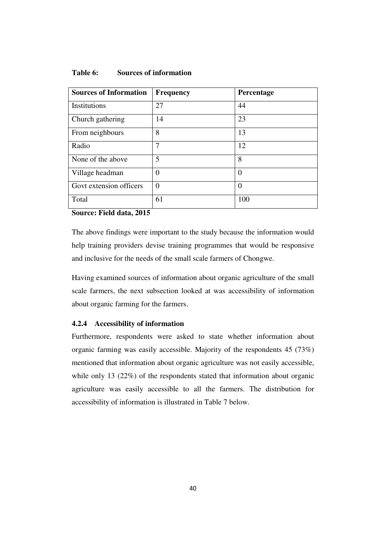# **Table 6: Sources of information**

| <b>Sources of Information</b> | <b>Frequency</b> | Percentage |
|-------------------------------|------------------|------------|
| Institutions                  | 27               | 44         |
| Church gathering              | 14               | 23         |
| From neighbours               | 8                | 13         |
| Radio                         | 7                | 12         |
| None of the above             | 5                | 8          |
| Village headman               | $\Omega$         | $\Omega$   |
| Govt extension officers       | $\Omega$         | 0          |
| Total                         | 61               | 100        |

**Source: Field data, 2015** 

The above findings were important to the study because the information would help training providers devise training programmes that would be responsive and inclusive for the needs of the small scale farmers of Chongwe.

Having examined sources of information about organic agriculture of the small scale farmers, the next subsection looked at was accessibility of information about organic farming for the farmers.

# **4.2.4 Accessibility of information**

Furthermore, respondents were asked to state whether information about organic farming was easily accessible. Majority of the respondents 45 (73%) mentioned that information about organic agriculture was not easily accessible, while only 13 (22%) of the respondents stated that information about organic agriculture was easily accessible to all the farmers. The distribution for accessibility of information is illustrated in Table 7 below.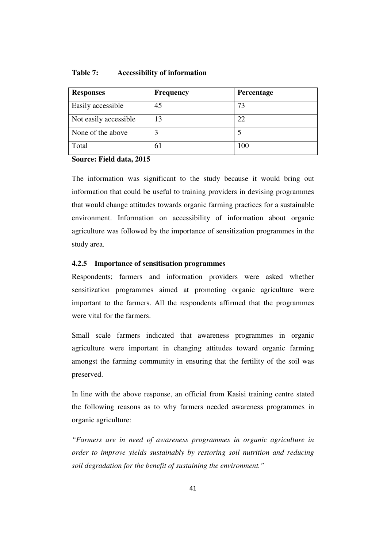### **Table 7: Accessibility of information**

| <b>Responses</b>      | <b>Frequency</b> | Percentage |
|-----------------------|------------------|------------|
| Easily accessible     | 45               | 73         |
| Not easily accessible | l3               | 22         |
| None of the above     | 3                |            |
| Total                 | 61               | 100        |

**Source: Field data, 2015** 

The information was significant to the study because it would bring out information that could be useful to training providers in devising programmes that would change attitudes towards organic farming practices for a sustainable environment. Information on accessibility of information about organic agriculture was followed by the importance of sensitization programmes in the study area.

# **4.2.5 Importance of sensitisation programmes**

Respondents; farmers and information providers were asked whether sensitization programmes aimed at promoting organic agriculture were important to the farmers. All the respondents affirmed that the programmes were vital for the farmers.

Small scale farmers indicated that awareness programmes in organic agriculture were important in changing attitudes toward organic farming amongst the farming community in ensuring that the fertility of the soil was preserved.

In line with the above response, an official from Kasisi training centre stated the following reasons as to why farmers needed awareness programmes in organic agriculture:

*"Farmers are in need of awareness programmes in organic agriculture in order to improve yields sustainably by restoring soil nutrition and reducing soil degradation for the benefit of sustaining the environment."*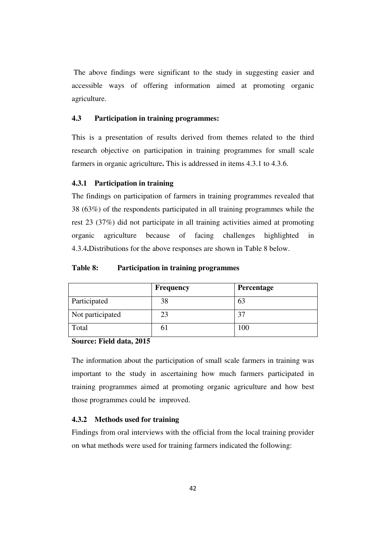The above findings were significant to the study in suggesting easier and accessible ways of offering information aimed at promoting organic agriculture.

# **4.3 Participation in training programmes:**

This is a presentation of results derived from themes related to the third research objective on participation in training programmes for small scale farmers in organic agriculture**.** This is addressed in items 4.3.1 to 4.3.6.

# **4.3.1 Participation in training**

The findings on participation of farmers in training programmes revealed that 38 (63%) of the respondents participated in all training programmes while the rest 23 (37%) did not participate in all training activities aimed at promoting organic agriculture because of facing challenges highlighted in 4.3.4**.**Distributions for the above responses are shown in Table 8 below.

## **Table 8: Participation in training programmes**

|                  | <b>Frequency</b> | Percentage |
|------------------|------------------|------------|
| Participated     | 38               | 63         |
| Not participated | 23               | 37         |
| Total            |                  | 100        |

### **Source: Field data, 2015**

The information about the participation of small scale farmers in training was important to the study in ascertaining how much farmers participated in training programmes aimed at promoting organic agriculture and how best those programmes could be improved.

#### **4.3.2 Methods used for training**

Findings from oral interviews with the official from the local training provider on what methods were used for training farmers indicated the following: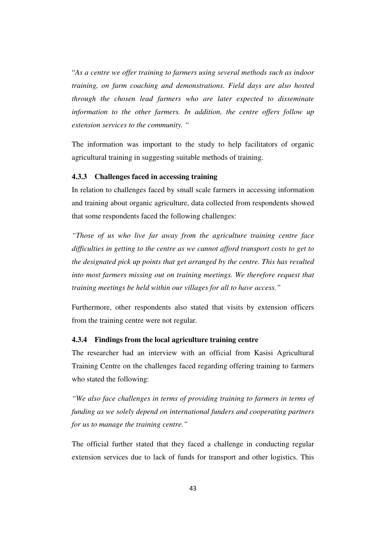"*As a centre we offer training to farmers using several methods such as indoor training, on farm coaching and demonstrations. Field days are also hosted through the chosen lead farmers who are later expected to disseminate*  information to the other farmers. In addition, the centre offers follow up *extension services to the community. "* 

The information was important to the study to help facilitators of organic agricultural training in suggesting suitable methods of training.

# **4.3.3 Challenges faced in accessing training**

In relation to challenges faced by small scale farmers in accessing information and training about organic agriculture, data collected from respondents showed that some respondents faced the following challenges:

*"Those of us who live far away from the agriculture training centre face difficulties in getting to the centre as we cannot afford transport costs to get to the designated pick up points that get arranged by the centre. This has resulted into most farmers missing out on training meetings. We therefore request that training meetings be held within our villages for all to have access."* 

Furthermore, other respondents also stated that visits by extension officers from the training centre were not regular.

# **4.3.4 Findings from the local agriculture training centre**

The researcher had an interview with an official from Kasisi Agricultural Training Centre on the challenges faced regarding offering training to farmers who stated the following:

*"We also face challenges in terms of providing training to farmers in terms of funding as we solely depend on international funders and cooperating partners for us to manage the training centre."* 

The official further stated that they faced a challenge in conducting regular extension services due to lack of funds for transport and other logistics. This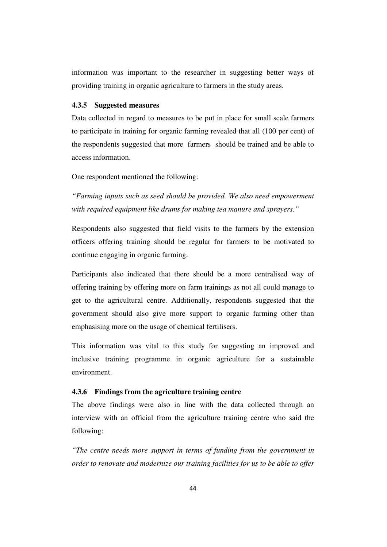information was important to the researcher in suggesting better ways of providing training in organic agriculture to farmers in the study areas.

## **4.3.5 Suggested measures**

Data collected in regard to measures to be put in place for small scale farmers to participate in training for organic farming revealed that all (100 per cent) of the respondents suggested that more farmers should be trained and be able to access information.

One respondent mentioned the following:

*"Farming inputs such as seed should be provided. We also need empowerment with required equipment like drums for making tea manure and sprayers."* 

Respondents also suggested that field visits to the farmers by the extension officers offering training should be regular for farmers to be motivated to continue engaging in organic farming.

Participants also indicated that there should be a more centralised way of offering training by offering more on farm trainings as not all could manage to get to the agricultural centre. Additionally, respondents suggested that the government should also give more support to organic farming other than emphasising more on the usage of chemical fertilisers.

This information was vital to this study for suggesting an improved and inclusive training programme in organic agriculture for a sustainable environment.

# **4.3.6 Findings from the agriculture training centre**

The above findings were also in line with the data collected through an interview with an official from the agriculture training centre who said the following:

*"The centre needs more support in terms of funding from the government in order to renovate and modernize our training facilities for us to be able to offer*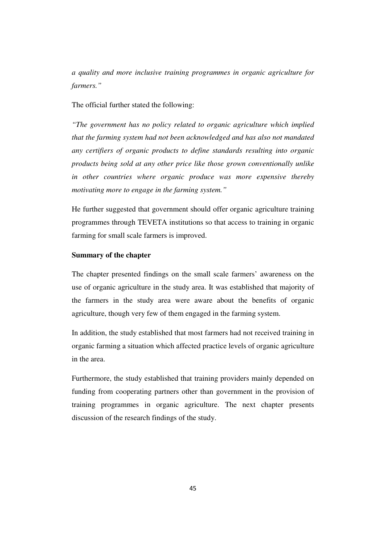*a quality and more inclusive training programmes in organic agriculture for farmers."* 

The official further stated the following:

*"The government has no policy related to organic agriculture which implied that the farming system had not been acknowledged and has also not mandated any certifiers of organic products to define standards resulting into organic products being sold at any other price like those grown conventionally unlike in other countries where organic produce was more expensive thereby motivating more to engage in the farming system."* 

He further suggested that government should offer organic agriculture training programmes through TEVETA institutions so that access to training in organic farming for small scale farmers is improved.

#### **Summary of the chapter**

The chapter presented findings on the small scale farmers' awareness on the use of organic agriculture in the study area. It was established that majority of the farmers in the study area were aware about the benefits of organic agriculture, though very few of them engaged in the farming system.

In addition, the study established that most farmers had not received training in organic farming a situation which affected practice levels of organic agriculture in the area.

Furthermore, the study established that training providers mainly depended on funding from cooperating partners other than government in the provision of training programmes in organic agriculture. The next chapter presents discussion of the research findings of the study.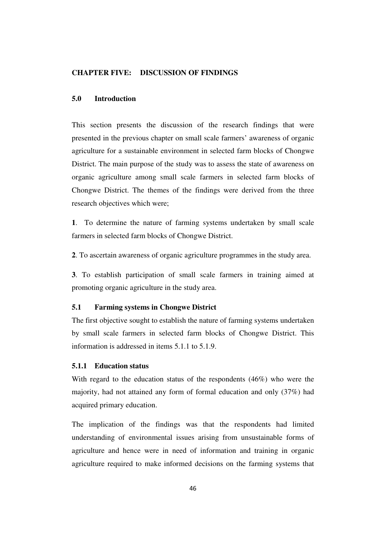#### **CHAPTER FIVE: DISCUSSION OF FINDINGS**

# **5.0 Introduction**

This section presents the discussion of the research findings that were presented in the previous chapter on small scale farmers' awareness of organic agriculture for a sustainable environment in selected farm blocks of Chongwe District. The main purpose of the study was to assess the state of awareness on organic agriculture among small scale farmers in selected farm blocks of Chongwe District. The themes of the findings were derived from the three research objectives which were;

**1**. To determine the nature of farming systems undertaken by small scale farmers in selected farm blocks of Chongwe District.

**2**. To ascertain awareness of organic agriculture programmes in the study area.

**3**. To establish participation of small scale farmers in training aimed at promoting organic agriculture in the study area.

### **5.1 Farming systems in Chongwe District**

The first objective sought to establish the nature of farming systems undertaken by small scale farmers in selected farm blocks of Chongwe District. This information is addressed in items 5.1.1 to 5.1.9.

# **5.1.1 Education status**

With regard to the education status of the respondents (46%) who were the majority, had not attained any form of formal education and only (37%) had acquired primary education.

The implication of the findings was that the respondents had limited understanding of environmental issues arising from unsustainable forms of agriculture and hence were in need of information and training in organic agriculture required to make informed decisions on the farming systems that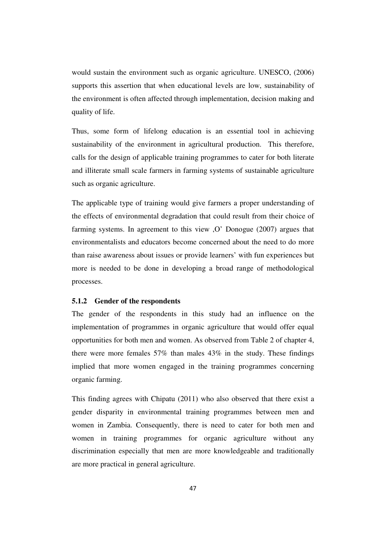would sustain the environment such as organic agriculture. UNESCO, (2006) supports this assertion that when educational levels are low, sustainability of the environment is often affected through implementation, decision making and quality of life.

Thus, some form of lifelong education is an essential tool in achieving sustainability of the environment in agricultural production. This therefore, calls for the design of applicable training programmes to cater for both literate and illiterate small scale farmers in farming systems of sustainable agriculture such as organic agriculture.

The applicable type of training would give farmers a proper understanding of the effects of environmental degradation that could result from their choice of farming systems. In agreement to this view ,O' Donogue (2007) argues that environmentalists and educators become concerned about the need to do more than raise awareness about issues or provide learners' with fun experiences but more is needed to be done in developing a broad range of methodological processes.

#### **5.1.2 Gender of the respondents**

The gender of the respondents in this study had an influence on the implementation of programmes in organic agriculture that would offer equal opportunities for both men and women. As observed from Table 2 of chapter 4, there were more females 57% than males 43% in the study. These findings implied that more women engaged in the training programmes concerning organic farming.

This finding agrees with Chipatu (2011) who also observed that there exist a gender disparity in environmental training programmes between men and women in Zambia. Consequently, there is need to cater for both men and women in training programmes for organic agriculture without any discrimination especially that men are more knowledgeable and traditionally are more practical in general agriculture.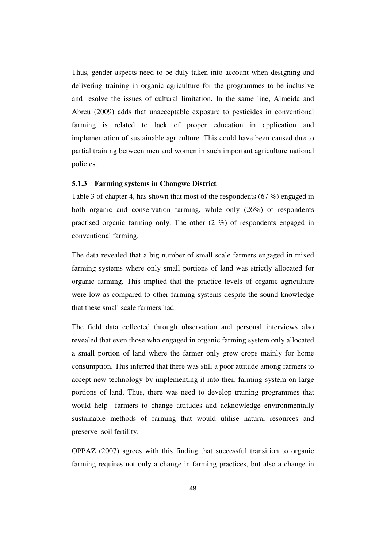Thus, gender aspects need to be duly taken into account when designing and delivering training in organic agriculture for the programmes to be inclusive and resolve the issues of cultural limitation. In the same line, Almeida and Abreu (2009) adds that unacceptable exposure to pesticides in conventional farming is related to lack of proper education in application and implementation of sustainable agriculture. This could have been caused due to partial training between men and women in such important agriculture national policies.

# **5.1.3 Farming systems in Chongwe District**

Table 3 of chapter 4, has shown that most of the respondents (67 %) engaged in both organic and conservation farming, while only (26%) of respondents practised organic farming only. The other (2 %) of respondents engaged in conventional farming.

The data revealed that a big number of small scale farmers engaged in mixed farming systems where only small portions of land was strictly allocated for organic farming. This implied that the practice levels of organic agriculture were low as compared to other farming systems despite the sound knowledge that these small scale farmers had.

The field data collected through observation and personal interviews also revealed that even those who engaged in organic farming system only allocated a small portion of land where the farmer only grew crops mainly for home consumption. This inferred that there was still a poor attitude among farmers to accept new technology by implementing it into their farming system on large portions of land. Thus, there was need to develop training programmes that would help farmers to change attitudes and acknowledge environmentally sustainable methods of farming that would utilise natural resources and preserve soil fertility.

OPPAZ (2007) agrees with this finding that successful transition to organic farming requires not only a change in farming practices, but also a change in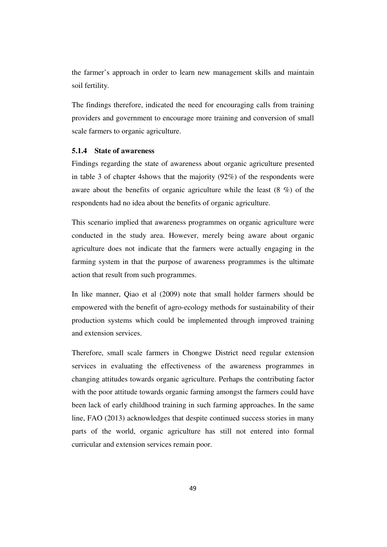the farmer's approach in order to learn new management skills and maintain soil fertility.

The findings therefore, indicated the need for encouraging calls from training providers and government to encourage more training and conversion of small scale farmers to organic agriculture.

# **5.1.4 State of awareness**

Findings regarding the state of awareness about organic agriculture presented in table 3 of chapter 4shows that the majority (92%) of the respondents were aware about the benefits of organic agriculture while the least (8 %) of the respondents had no idea about the benefits of organic agriculture.

This scenario implied that awareness programmes on organic agriculture were conducted in the study area. However, merely being aware about organic agriculture does not indicate that the farmers were actually engaging in the farming system in that the purpose of awareness programmes is the ultimate action that result from such programmes.

In like manner, Qiao et al (2009) note that small holder farmers should be empowered with the benefit of agro-ecology methods for sustainability of their production systems which could be implemented through improved training and extension services.

Therefore, small scale farmers in Chongwe District need regular extension services in evaluating the effectiveness of the awareness programmes in changing attitudes towards organic agriculture. Perhaps the contributing factor with the poor attitude towards organic farming amongst the farmers could have been lack of early childhood training in such farming approaches. In the same line, FAO (2013) acknowledges that despite continued success stories in many parts of the world, organic agriculture has still not entered into formal curricular and extension services remain poor.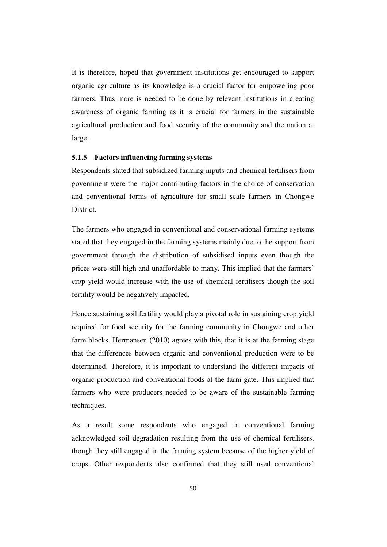It is therefore, hoped that government institutions get encouraged to support organic agriculture as its knowledge is a crucial factor for empowering poor farmers. Thus more is needed to be done by relevant institutions in creating awareness of organic farming as it is crucial for farmers in the sustainable agricultural production and food security of the community and the nation at large.

#### **5.1.5 Factors influencing farming systems**

Respondents stated that subsidized farming inputs and chemical fertilisers from government were the major contributing factors in the choice of conservation and conventional forms of agriculture for small scale farmers in Chongwe District.

The farmers who engaged in conventional and conservational farming systems stated that they engaged in the farming systems mainly due to the support from government through the distribution of subsidised inputs even though the prices were still high and unaffordable to many. This implied that the farmers' crop yield would increase with the use of chemical fertilisers though the soil fertility would be negatively impacted.

Hence sustaining soil fertility would play a pivotal role in sustaining crop yield required for food security for the farming community in Chongwe and other farm blocks. Hermansen (2010) agrees with this, that it is at the farming stage that the differences between organic and conventional production were to be determined. Therefore, it is important to understand the different impacts of organic production and conventional foods at the farm gate. This implied that farmers who were producers needed to be aware of the sustainable farming techniques.

As a result some respondents who engaged in conventional farming acknowledged soil degradation resulting from the use of chemical fertilisers, though they still engaged in the farming system because of the higher yield of crops. Other respondents also confirmed that they still used conventional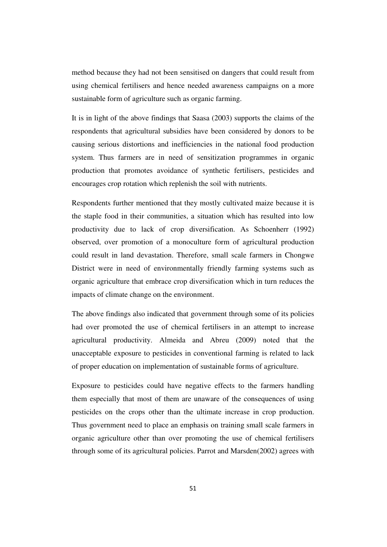method because they had not been sensitised on dangers that could result from using chemical fertilisers and hence needed awareness campaigns on a more sustainable form of agriculture such as organic farming.

It is in light of the above findings that Saasa (2003) supports the claims of the respondents that agricultural subsidies have been considered by donors to be causing serious distortions and inefficiencies in the national food production system. Thus farmers are in need of sensitization programmes in organic production that promotes avoidance of synthetic fertilisers, pesticides and encourages crop rotation which replenish the soil with nutrients.

Respondents further mentioned that they mostly cultivated maize because it is the staple food in their communities, a situation which has resulted into low productivity due to lack of crop diversification. As Schoenherr (1992) observed, over promotion of a monoculture form of agricultural production could result in land devastation. Therefore, small scale farmers in Chongwe District were in need of environmentally friendly farming systems such as organic agriculture that embrace crop diversification which in turn reduces the impacts of climate change on the environment.

The above findings also indicated that government through some of its policies had over promoted the use of chemical fertilisers in an attempt to increase agricultural productivity. Almeida and Abreu (2009) noted that the unacceptable exposure to pesticides in conventional farming is related to lack of proper education on implementation of sustainable forms of agriculture.

Exposure to pesticides could have negative effects to the farmers handling them especially that most of them are unaware of the consequences of using pesticides on the crops other than the ultimate increase in crop production. Thus government need to place an emphasis on training small scale farmers in organic agriculture other than over promoting the use of chemical fertilisers through some of its agricultural policies. Parrot and Marsden(2002) agrees with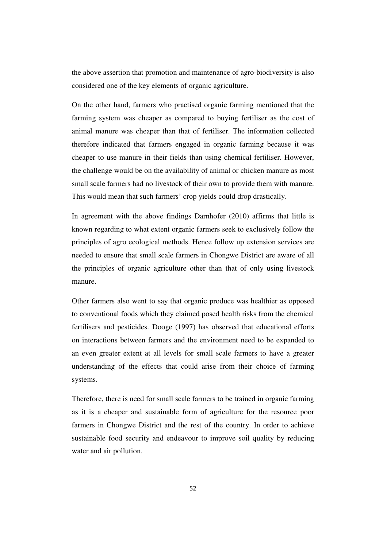the above assertion that promotion and maintenance of agro-biodiversity is also considered one of the key elements of organic agriculture.

On the other hand, farmers who practised organic farming mentioned that the farming system was cheaper as compared to buying fertiliser as the cost of animal manure was cheaper than that of fertiliser. The information collected therefore indicated that farmers engaged in organic farming because it was cheaper to use manure in their fields than using chemical fertiliser. However, the challenge would be on the availability of animal or chicken manure as most small scale farmers had no livestock of their own to provide them with manure. This would mean that such farmers' crop yields could drop drastically.

In agreement with the above findings Darnhofer (2010) affirms that little is known regarding to what extent organic farmers seek to exclusively follow the principles of agro ecological methods. Hence follow up extension services are needed to ensure that small scale farmers in Chongwe District are aware of all the principles of organic agriculture other than that of only using livestock manure.

Other farmers also went to say that organic produce was healthier as opposed to conventional foods which they claimed posed health risks from the chemical fertilisers and pesticides. Dooge (1997) has observed that educational efforts on interactions between farmers and the environment need to be expanded to an even greater extent at all levels for small scale farmers to have a greater understanding of the effects that could arise from their choice of farming systems.

Therefore, there is need for small scale farmers to be trained in organic farming as it is a cheaper and sustainable form of agriculture for the resource poor farmers in Chongwe District and the rest of the country. In order to achieve sustainable food security and endeavour to improve soil quality by reducing water and air pollution.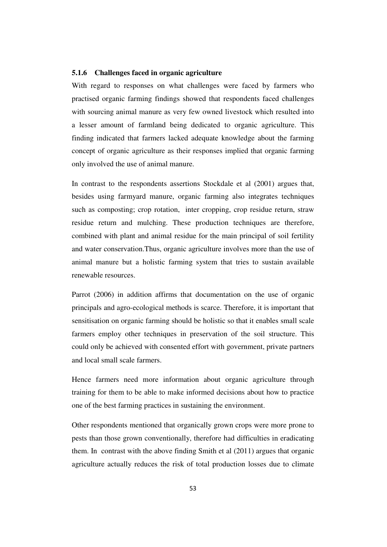#### **5.1.6 Challenges faced in organic agriculture**

With regard to responses on what challenges were faced by farmers who practised organic farming findings showed that respondents faced challenges with sourcing animal manure as very few owned livestock which resulted into a lesser amount of farmland being dedicated to organic agriculture. This finding indicated that farmers lacked adequate knowledge about the farming concept of organic agriculture as their responses implied that organic farming only involved the use of animal manure.

In contrast to the respondents assertions Stockdale et al (2001) argues that, besides using farmyard manure, organic farming also integrates techniques such as composting; crop rotation, inter cropping, crop residue return, straw residue return and mulching. These production techniques are therefore, combined with plant and animal residue for the main principal of soil fertility and water conservation.Thus, organic agriculture involves more than the use of animal manure but a holistic farming system that tries to sustain available renewable resources.

Parrot (2006) in addition affirms that documentation on the use of organic principals and agro-ecological methods is scarce. Therefore, it is important that sensitisation on organic farming should be holistic so that it enables small scale farmers employ other techniques in preservation of the soil structure. This could only be achieved with consented effort with government, private partners and local small scale farmers.

Hence farmers need more information about organic agriculture through training for them to be able to make informed decisions about how to practice one of the best farming practices in sustaining the environment.

Other respondents mentioned that organically grown crops were more prone to pests than those grown conventionally, therefore had difficulties in eradicating them. In contrast with the above finding Smith et al (2011) argues that organic agriculture actually reduces the risk of total production losses due to climate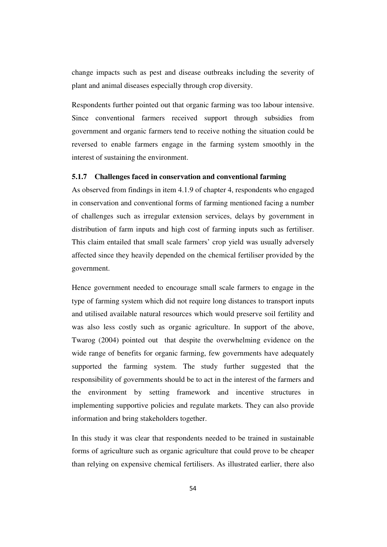change impacts such as pest and disease outbreaks including the severity of plant and animal diseases especially through crop diversity.

Respondents further pointed out that organic farming was too labour intensive. Since conventional farmers received support through subsidies from government and organic farmers tend to receive nothing the situation could be reversed to enable farmers engage in the farming system smoothly in the interest of sustaining the environment.

#### **5.1.7 Challenges faced in conservation and conventional farming**

As observed from findings in item 4.1.9 of chapter 4, respondents who engaged in conservation and conventional forms of farming mentioned facing a number of challenges such as irregular extension services, delays by government in distribution of farm inputs and high cost of farming inputs such as fertiliser. This claim entailed that small scale farmers' crop yield was usually adversely affected since they heavily depended on the chemical fertiliser provided by the government.

Hence government needed to encourage small scale farmers to engage in the type of farming system which did not require long distances to transport inputs and utilised available natural resources which would preserve soil fertility and was also less costly such as organic agriculture. In support of the above, Twarog (2004) pointed out that despite the overwhelming evidence on the wide range of benefits for organic farming, few governments have adequately supported the farming system. The study further suggested that the responsibility of governments should be to act in the interest of the farmers and the environment by setting framework and incentive structures in implementing supportive policies and regulate markets. They can also provide information and bring stakeholders together.

In this study it was clear that respondents needed to be trained in sustainable forms of agriculture such as organic agriculture that could prove to be cheaper than relying on expensive chemical fertilisers. As illustrated earlier, there also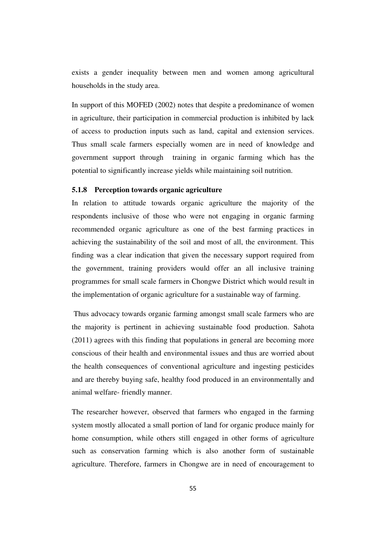exists a gender inequality between men and women among agricultural households in the study area.

In support of this MOFED (2002) notes that despite a predominance of women in agriculture, their participation in commercial production is inhibited by lack of access to production inputs such as land, capital and extension services. Thus small scale farmers especially women are in need of knowledge and government support through training in organic farming which has the potential to significantly increase yields while maintaining soil nutrition.

# **5.1.8 Perception towards organic agriculture**

In relation to attitude towards organic agriculture the majority of the respondents inclusive of those who were not engaging in organic farming recommended organic agriculture as one of the best farming practices in achieving the sustainability of the soil and most of all, the environment. This finding was a clear indication that given the necessary support required from the government, training providers would offer an all inclusive training programmes for small scale farmers in Chongwe District which would result in the implementation of organic agriculture for a sustainable way of farming.

 Thus advocacy towards organic farming amongst small scale farmers who are the majority is pertinent in achieving sustainable food production. Sahota (2011) agrees with this finding that populations in general are becoming more conscious of their health and environmental issues and thus are worried about the health consequences of conventional agriculture and ingesting pesticides and are thereby buying safe, healthy food produced in an environmentally and animal welfare- friendly manner.

The researcher however, observed that farmers who engaged in the farming system mostly allocated a small portion of land for organic produce mainly for home consumption, while others still engaged in other forms of agriculture such as conservation farming which is also another form of sustainable agriculture. Therefore, farmers in Chongwe are in need of encouragement to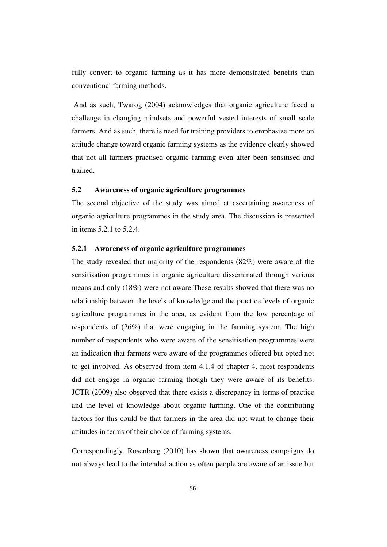fully convert to organic farming as it has more demonstrated benefits than conventional farming methods.

 And as such, Twarog (2004) acknowledges that organic agriculture faced a challenge in changing mindsets and powerful vested interests of small scale farmers. And as such, there is need for training providers to emphasize more on attitude change toward organic farming systems as the evidence clearly showed that not all farmers practised organic farming even after been sensitised and trained.

# **5.2 Awareness of organic agriculture programmes**

The second objective of the study was aimed at ascertaining awareness of organic agriculture programmes in the study area. The discussion is presented in items 5.2.1 to 5.2.4.

## **5.2.1 Awareness of organic agriculture programmes**

The study revealed that majority of the respondents (82%) were aware of the sensitisation programmes in organic agriculture disseminated through various means and only (18%) were not aware.These results showed that there was no relationship between the levels of knowledge and the practice levels of organic agriculture programmes in the area, as evident from the low percentage of respondents of (26%) that were engaging in the farming system. The high number of respondents who were aware of the sensitisation programmes were an indication that farmers were aware of the programmes offered but opted not to get involved. As observed from item 4.1.4 of chapter 4, most respondents did not engage in organic farming though they were aware of its benefits. JCTR (2009) also observed that there exists a discrepancy in terms of practice and the level of knowledge about organic farming. One of the contributing factors for this could be that farmers in the area did not want to change their attitudes in terms of their choice of farming systems.

Correspondingly, Rosenberg (2010) has shown that awareness campaigns do not always lead to the intended action as often people are aware of an issue but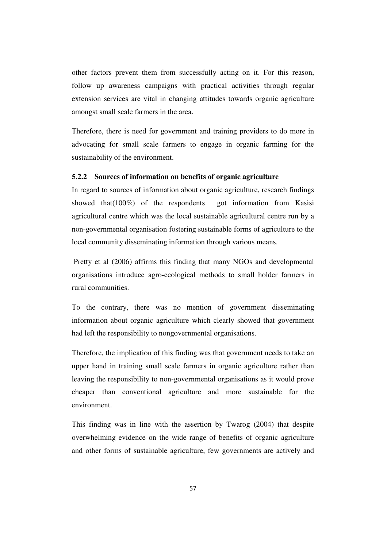other factors prevent them from successfully acting on it. For this reason, follow up awareness campaigns with practical activities through regular extension services are vital in changing attitudes towards organic agriculture amongst small scale farmers in the area.

Therefore, there is need for government and training providers to do more in advocating for small scale farmers to engage in organic farming for the sustainability of the environment.

## **5.2.2 Sources of information on benefits of organic agriculture**

In regard to sources of information about organic agriculture, research findings showed that (100%) of the respondents got information from Kasisi agricultural centre which was the local sustainable agricultural centre run by a non-governmental organisation fostering sustainable forms of agriculture to the local community disseminating information through various means.

 Pretty et al (2006) affirms this finding that many NGOs and developmental organisations introduce agro-ecological methods to small holder farmers in rural communities.

To the contrary, there was no mention of government disseminating information about organic agriculture which clearly showed that government had left the responsibility to nongovernmental organisations.

Therefore, the implication of this finding was that government needs to take an upper hand in training small scale farmers in organic agriculture rather than leaving the responsibility to non-governmental organisations as it would prove cheaper than conventional agriculture and more sustainable for the environment.

This finding was in line with the assertion by Twarog (2004) that despite overwhelming evidence on the wide range of benefits of organic agriculture and other forms of sustainable agriculture, few governments are actively and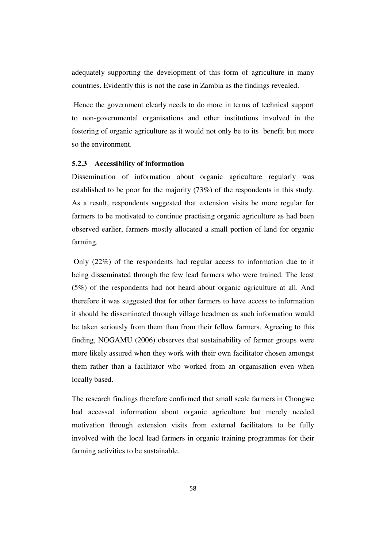adequately supporting the development of this form of agriculture in many countries. Evidently this is not the case in Zambia as the findings revealed.

 Hence the government clearly needs to do more in terms of technical support to non-governmental organisations and other institutions involved in the fostering of organic agriculture as it would not only be to its benefit but more so the environment.

### **5.2.3 Accessibility of information**

Dissemination of information about organic agriculture regularly was established to be poor for the majority (73%) of the respondents in this study. As a result, respondents suggested that extension visits be more regular for farmers to be motivated to continue practising organic agriculture as had been observed earlier, farmers mostly allocated a small portion of land for organic farming.

 Only (22%) of the respondents had regular access to information due to it being disseminated through the few lead farmers who were trained. The least (5%) of the respondents had not heard about organic agriculture at all. And therefore it was suggested that for other farmers to have access to information it should be disseminated through village headmen as such information would be taken seriously from them than from their fellow farmers. Agreeing to this finding, NOGAMU (2006) observes that sustainability of farmer groups were more likely assured when they work with their own facilitator chosen amongst them rather than a facilitator who worked from an organisation even when locally based.

The research findings therefore confirmed that small scale farmers in Chongwe had accessed information about organic agriculture but merely needed motivation through extension visits from external facilitators to be fully involved with the local lead farmers in organic training programmes for their farming activities to be sustainable.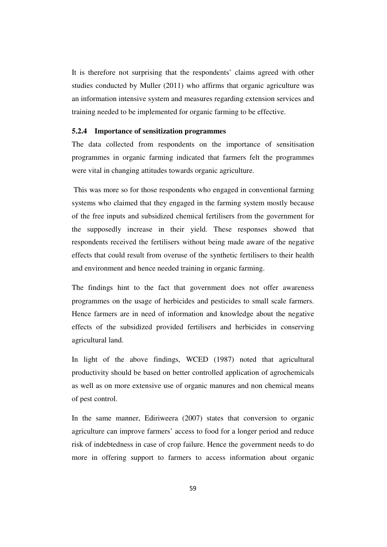It is therefore not surprising that the respondents' claims agreed with other studies conducted by Muller (2011) who affirms that organic agriculture was an information intensive system and measures regarding extension services and training needed to be implemented for organic farming to be effective.

### **5.2.4 Importance of sensitization programmes**

The data collected from respondents on the importance of sensitisation programmes in organic farming indicated that farmers felt the programmes were vital in changing attitudes towards organic agriculture.

 This was more so for those respondents who engaged in conventional farming systems who claimed that they engaged in the farming system mostly because of the free inputs and subsidized chemical fertilisers from the government for the supposedly increase in their yield. These responses showed that respondents received the fertilisers without being made aware of the negative effects that could result from overuse of the synthetic fertilisers to their health and environment and hence needed training in organic farming.

The findings hint to the fact that government does not offer awareness programmes on the usage of herbicides and pesticides to small scale farmers. Hence farmers are in need of information and knowledge about the negative effects of the subsidized provided fertilisers and herbicides in conserving agricultural land.

In light of the above findings, WCED (1987) noted that agricultural productivity should be based on better controlled application of agrochemicals as well as on more extensive use of organic manures and non chemical means of pest control.

In the same manner, Ediriweera (2007) states that conversion to organic agriculture can improve farmers' access to food for a longer period and reduce risk of indebtedness in case of crop failure. Hence the government needs to do more in offering support to farmers to access information about organic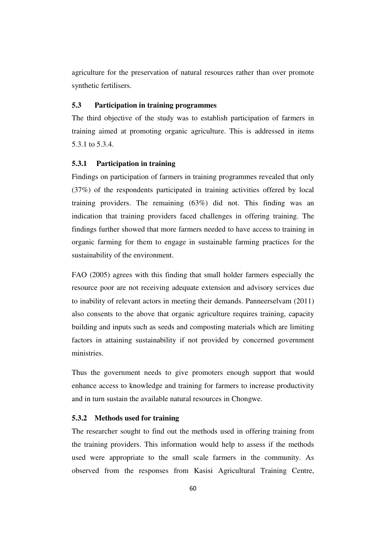agriculture for the preservation of natural resources rather than over promote synthetic fertilisers.

# **5.3 Participation in training programmes**

The third objective of the study was to establish participation of farmers in training aimed at promoting organic agriculture. This is addressed in items 5.3.1 to 5.3.4.

### **5.3.1 Participation in training**

Findings on participation of farmers in training programmes revealed that only (37%) of the respondents participated in training activities offered by local training providers. The remaining (63%) did not. This finding was an indication that training providers faced challenges in offering training. The findings further showed that more farmers needed to have access to training in organic farming for them to engage in sustainable farming practices for the sustainability of the environment.

FAO (2005) agrees with this finding that small holder farmers especially the resource poor are not receiving adequate extension and advisory services due to inability of relevant actors in meeting their demands. Panneerselvam (2011) also consents to the above that organic agriculture requires training, capacity building and inputs such as seeds and composting materials which are limiting factors in attaining sustainability if not provided by concerned government ministries.

Thus the government needs to give promoters enough support that would enhance access to knowledge and training for farmers to increase productivity and in turn sustain the available natural resources in Chongwe.

# **5.3.2 Methods used for training**

The researcher sought to find out the methods used in offering training from the training providers. This information would help to assess if the methods used were appropriate to the small scale farmers in the community. As observed from the responses from Kasisi Agricultural Training Centre,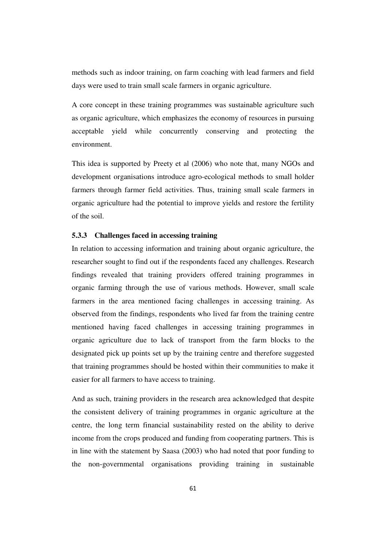methods such as indoor training, on farm coaching with lead farmers and field days were used to train small scale farmers in organic agriculture.

A core concept in these training programmes was sustainable agriculture such as organic agriculture, which emphasizes the economy of resources in pursuing acceptable yield while concurrently conserving and protecting the environment.

This idea is supported by Preety et al (2006) who note that, many NGOs and development organisations introduce agro-ecological methods to small holder farmers through farmer field activities. Thus, training small scale farmers in organic agriculture had the potential to improve yields and restore the fertility of the soil.

#### **5.3.3 Challenges faced in accessing training**

In relation to accessing information and training about organic agriculture, the researcher sought to find out if the respondents faced any challenges. Research findings revealed that training providers offered training programmes in organic farming through the use of various methods. However, small scale farmers in the area mentioned facing challenges in accessing training. As observed from the findings, respondents who lived far from the training centre mentioned having faced challenges in accessing training programmes in organic agriculture due to lack of transport from the farm blocks to the designated pick up points set up by the training centre and therefore suggested that training programmes should be hosted within their communities to make it easier for all farmers to have access to training.

And as such, training providers in the research area acknowledged that despite the consistent delivery of training programmes in organic agriculture at the centre, the long term financial sustainability rested on the ability to derive income from the crops produced and funding from cooperating partners. This is in line with the statement by Saasa (2003) who had noted that poor funding to the non-governmental organisations providing training in sustainable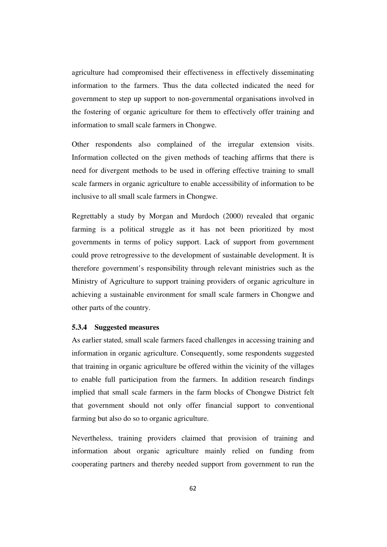agriculture had compromised their effectiveness in effectively disseminating information to the farmers. Thus the data collected indicated the need for government to step up support to non-governmental organisations involved in the fostering of organic agriculture for them to effectively offer training and information to small scale farmers in Chongwe.

Other respondents also complained of the irregular extension visits. Information collected on the given methods of teaching affirms that there is need for divergent methods to be used in offering effective training to small scale farmers in organic agriculture to enable accessibility of information to be inclusive to all small scale farmers in Chongwe.

Regrettably a study by Morgan and Murdoch (2000) revealed that organic farming is a political struggle as it has not been prioritized by most governments in terms of policy support. Lack of support from government could prove retrogressive to the development of sustainable development. It is therefore government's responsibility through relevant ministries such as the Ministry of Agriculture to support training providers of organic agriculture in achieving a sustainable environment for small scale farmers in Chongwe and other parts of the country.

#### **5.3.4 Suggested measures**

As earlier stated, small scale farmers faced challenges in accessing training and information in organic agriculture. Consequently, some respondents suggested that training in organic agriculture be offered within the vicinity of the villages to enable full participation from the farmers. In addition research findings implied that small scale farmers in the farm blocks of Chongwe District felt that government should not only offer financial support to conventional farming but also do so to organic agriculture.

Nevertheless, training providers claimed that provision of training and information about organic agriculture mainly relied on funding from cooperating partners and thereby needed support from government to run the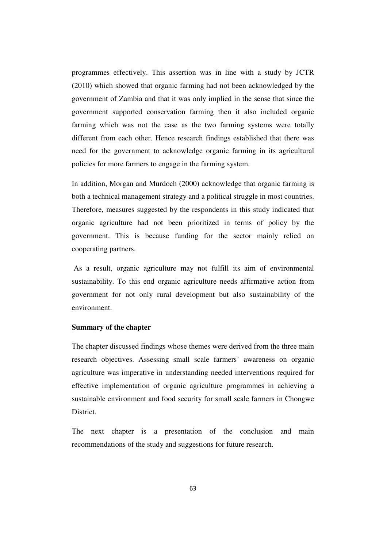programmes effectively. This assertion was in line with a study by JCTR (2010) which showed that organic farming had not been acknowledged by the government of Zambia and that it was only implied in the sense that since the government supported conservation farming then it also included organic farming which was not the case as the two farming systems were totally different from each other. Hence research findings established that there was need for the government to acknowledge organic farming in its agricultural policies for more farmers to engage in the farming system.

In addition, Morgan and Murdoch (2000) acknowledge that organic farming is both a technical management strategy and a political struggle in most countries. Therefore, measures suggested by the respondents in this study indicated that organic agriculture had not been prioritized in terms of policy by the government. This is because funding for the sector mainly relied on cooperating partners.

 As a result, organic agriculture may not fulfill its aim of environmental sustainability. To this end organic agriculture needs affirmative action from government for not only rural development but also sustainability of the environment.

#### **Summary of the chapter**

The chapter discussed findings whose themes were derived from the three main research objectives. Assessing small scale farmers' awareness on organic agriculture was imperative in understanding needed interventions required for effective implementation of organic agriculture programmes in achieving a sustainable environment and food security for small scale farmers in Chongwe District.

The next chapter is a presentation of the conclusion and main recommendations of the study and suggestions for future research.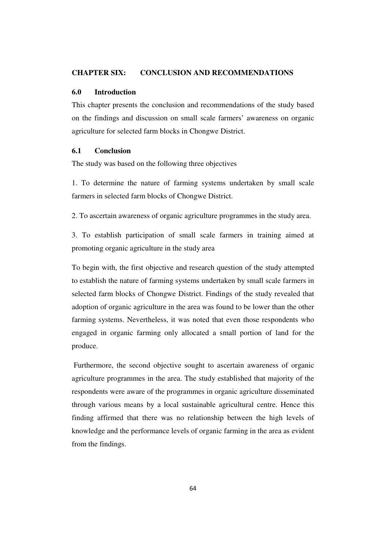#### **CHAPTER SIX: CONCLUSION AND RECOMMENDATIONS**

#### **6.0 Introduction**

This chapter presents the conclusion and recommendations of the study based on the findings and discussion on small scale farmers' awareness on organic agriculture for selected farm blocks in Chongwe District.

#### **6.1 Conclusion**

The study was based on the following three objectives

1. To determine the nature of farming systems undertaken by small scale farmers in selected farm blocks of Chongwe District.

2. To ascertain awareness of organic agriculture programmes in the study area.

3. To establish participation of small scale farmers in training aimed at promoting organic agriculture in the study area

To begin with, the first objective and research question of the study attempted to establish the nature of farming systems undertaken by small scale farmers in selected farm blocks of Chongwe District. Findings of the study revealed that adoption of organic agriculture in the area was found to be lower than the other farming systems. Nevertheless, it was noted that even those respondents who engaged in organic farming only allocated a small portion of land for the produce.

 Furthermore, the second objective sought to ascertain awareness of organic agriculture programmes in the area. The study established that majority of the respondents were aware of the programmes in organic agriculture disseminated through various means by a local sustainable agricultural centre. Hence this finding affirmed that there was no relationship between the high levels of knowledge and the performance levels of organic farming in the area as evident from the findings.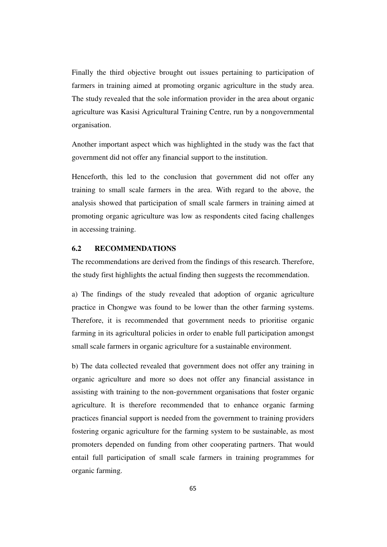Finally the third objective brought out issues pertaining to participation of farmers in training aimed at promoting organic agriculture in the study area. The study revealed that the sole information provider in the area about organic agriculture was Kasisi Agricultural Training Centre, run by a nongovernmental organisation.

Another important aspect which was highlighted in the study was the fact that government did not offer any financial support to the institution.

Henceforth, this led to the conclusion that government did not offer any training to small scale farmers in the area. With regard to the above, the analysis showed that participation of small scale farmers in training aimed at promoting organic agriculture was low as respondents cited facing challenges in accessing training.

## **6.2 RECOMMENDATIONS**

The recommendations are derived from the findings of this research. Therefore, the study first highlights the actual finding then suggests the recommendation.

a) The findings of the study revealed that adoption of organic agriculture practice in Chongwe was found to be lower than the other farming systems. Therefore, it is recommended that government needs to prioritise organic farming in its agricultural policies in order to enable full participation amongst small scale farmers in organic agriculture for a sustainable environment.

b) The data collected revealed that government does not offer any training in organic agriculture and more so does not offer any financial assistance in assisting with training to the non-government organisations that foster organic agriculture. It is therefore recommended that to enhance organic farming practices financial support is needed from the government to training providers fostering organic agriculture for the farming system to be sustainable, as most promoters depended on funding from other cooperating partners. That would entail full participation of small scale farmers in training programmes for organic farming.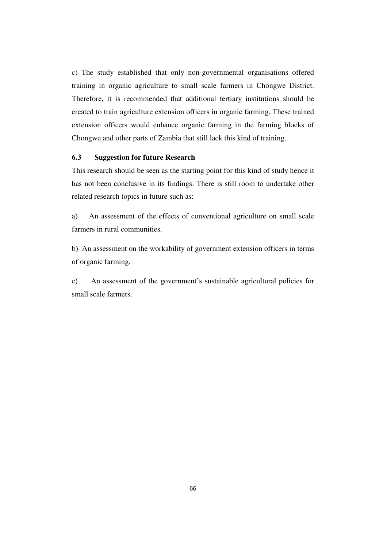c) The study established that only non-governmental organisations offered training in organic agriculture to small scale farmers in Chongwe District. Therefore, it is recommended that additional tertiary institutions should be created to train agriculture extension officers in organic farming. These trained extension officers would enhance organic farming in the farming blocks of Chongwe and other parts of Zambia that still lack this kind of training.

### **6.3 Suggestion for future Research**

This research should be seen as the starting point for this kind of study hence it has not been conclusive in its findings. There is still room to undertake other related research topics in future such as:

a) An assessment of the effects of conventional agriculture on small scale farmers in rural communities.

b) An assessment on the workability of government extension officers in terms of organic farming.

c) An assessment of the government's sustainable agricultural policies for small scale farmers.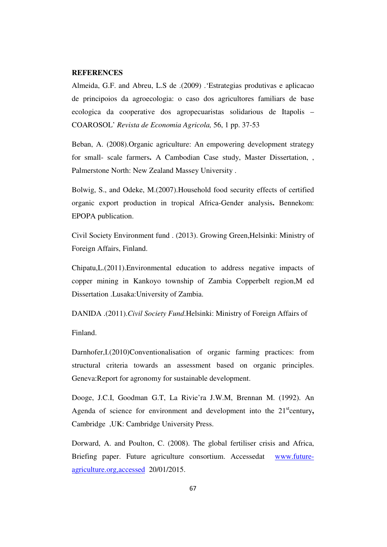#### **REFERENCES**

Almeida, G.F. and Abreu, L.S de .(2009) .'Estrategias produtivas e aplicacao de principoios da agroecologia: o caso dos agricultores familiars de base ecologica da cooperative dos agropecuaristas solidarious de Itapolis – COAROSOL' *Revista de Economia Agricola,* 56, 1 pp. 37-53

Beban, A. (2008).Organic agriculture: An empowering development strategy for small- scale farmers**.** A Cambodian Case study, Master Dissertation, , Palmerstone North: New Zealand Massey University .

Bolwig, S., and Odeke, M.(2007).Household food security effects of certified organic export production in tropical Africa-Gender analysis**.** Bennekom: EPOPA publication.

Civil Society Environment fund . (2013). Growing Green,Helsinki: Ministry of Foreign Affairs, Finland.

Chipatu,L.(2011).Environmental education to address negative impacts of copper mining in Kankoyo township of Zambia Copperbelt region,M ed Dissertation .Lusaka:University of Zambia.

DANIDA .(2011).*Civil Society Fund*.Helsinki: Ministry of Foreign Affairs of

Finland.

Darnhofer,I.(2010)Conventionalisation of organic farming practices: from structural criteria towards an assessment based on organic principles. Geneva:Report for agronomy for sustainable development.

Dooge, J.C.I, Goodman G.T, La Rivie'ra J.W.M, Brennan M. (1992). An Agenda of science for environment and development into the 21<sup>st</sup>century, Cambridge ,UK: Cambridge University Press.

Dorward, A. and Poulton, C. (2008). The global fertiliser crisis and Africa, Briefing paper. Future agriculture consortium. Accessedat www.futureagriculture.org,accessed 20/01/2015.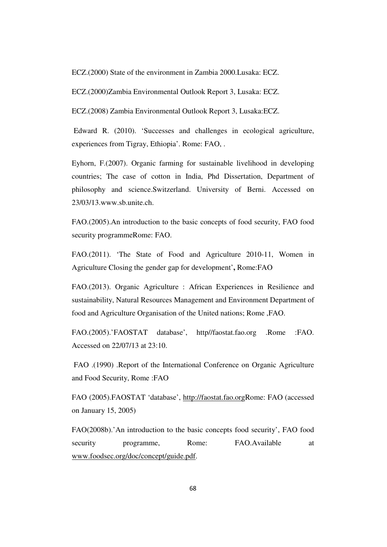ECZ.(2000) State of the environment in Zambia 2000.Lusaka: ECZ.

ECZ.(2000)Zambia Environmental Outlook Report 3, Lusaka: ECZ.

ECZ.(2008) Zambia Environmental Outlook Report 3, Lusaka:ECZ.

 Edward R. (2010). 'Successes and challenges in ecological agriculture, experiences from Tigray, Ethiopia'. Rome: FAO, .

Eyhorn, F.(2007). Organic farming for sustainable livelihood in developing countries; The case of cotton in India, Phd Dissertation, Department of philosophy and science.Switzerland. University of Berni. Accessed on 23/03/13.www.sb.unite.ch.

FAO.(2005).An introduction to the basic concepts of food security, FAO food security programmeRome: FAO.

FAO.(2011). 'The State of Food and Agriculture 2010-11, Women in Agriculture Closing the gender gap for development'**,** Rome:FAO

FAO.(2013). Organic Agriculture : African Experiences in Resilience and sustainability, Natural Resources Management and Environment Department of food and Agriculture Organisation of the United nations; Rome ,FAO.

FAO.(2005).'FAOSTAT database', http//faostat.fao.org .Rome :FAO. Accessed on 22/07/13 at 23:10.

 FAO .(1990) .Report of the International Conference on Organic Agriculture and Food Security, Rome :FAO

FAO (2005).FAOSTAT 'database', http://faostat.fao.orgRome: FAO (accessed on January 15, 2005)

FAO(2008b).'An introduction to the basic concepts food security', FAO food security programme, Rome: FAO.Available at www.foodsec.org/doc/concept/guide.pdf.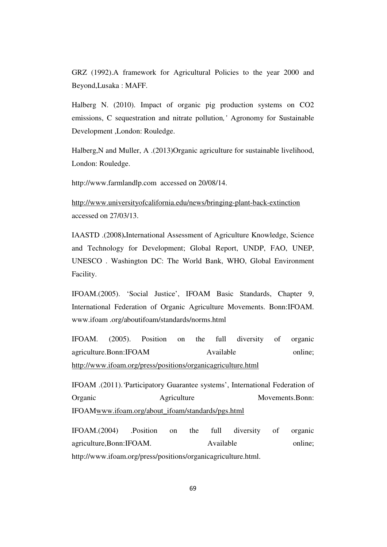GRZ (1992).A framework for Agricultural Policies to the year 2000 and Beyond,Lusaka : MAFF.

Halberg N. (2010). Impact of organic pig production systems on CO2 emissions, C sequestration and nitrate pollution*,'* Agronomy for Sustainable Development ,London: Rouledge.

Halberg,N and Muller, A .(2013)Organic agriculture for sustainable livelihood, London: Rouledge.

http://www.farmlandlp.com accessed on 20/08/14.

http://www.universityofcalifornia.edu/news/bringing-plant-back-extinction accessed on 27/03/13.

IAASTD .(2008**).**International Assessment of Agriculture Knowledge, Science and Technology for Development; Global Report, UNDP, FAO, UNEP, UNESCO . Washington DC: The World Bank, WHO, Global Environment Facility.

IFOAM.(2005). 'Social Justice', IFOAM Basic Standards, Chapter 9, International Federation of Organic Agriculture Movements. Bonn:IFOAM. www.ifoam .org/aboutifoam/standards/norms.html

IFOAM. (2005). Position on the full diversity of organic agriculture.Bonn:IFOAM Available online: http://www.ifoam.org/press/positions/organicagriculture.html

IFOAM .(2011).*'*Participatory Guarantee systems', International Federation of Organic Agriculture Movements.Bonn: IFOAMwww.ifoam.org/about\_ifoam/standards/pgs.html

IFOAM.(2004) .Position on the full diversity of organic agriculture,Bonn:IFOAM. Available online; http://www.ifoam.org/press/positions/organicagriculture.html.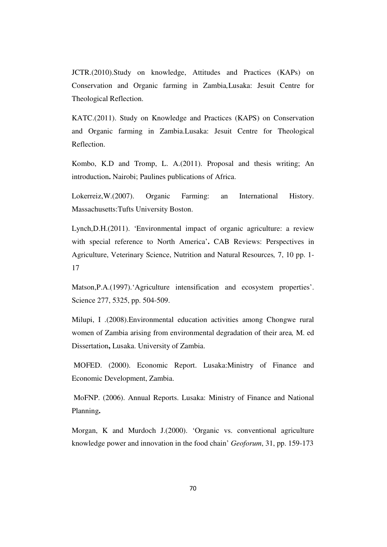JCTR.(2010).Study on knowledge, Attitudes and Practices (KAPs) on Conservation and Organic farming in Zambia*,*Lusaka: Jesuit Centre for Theological Reflection.

KATC.(2011). Study on Knowledge and Practices (KAPS) on Conservation and Organic farming in Zambia.Lusaka: Jesuit Centre for Theological Reflection.

Kombo, K.D and Tromp, L. A.(2011). Proposal and thesis writing; An introduction**.** Nairobi; Paulines publications of Africa.

Lokerreiz,W.(2007). Organic Farming: an International History. Massachusetts:Tufts University Boston.

Lynch,D.H.(2011). 'Environmental impact of organic agriculture: a review with special reference to North America'**.** CAB Reviews: Perspectives in Agriculture, Veterinary Science, Nutrition and Natural Resources*,* 7, 10 pp. 1- 17

Matson, P.A. (1997). 'Agriculture intensification and ecosystem properties'. Science 277, 5325, pp. 504-509.

Milupi, I .(2008).Environmental education activities among Chongwe rural women of Zambia arising from environmental degradation of their area*,* M. ed Dissertation**,** Lusaka. University of Zambia.

 MOFED. (2000). Economic Report. Lusaka:Ministry of Finance and Economic Development, Zambia.

 MoFNP. (2006). Annual Reports. Lusaka: Ministry of Finance and National Planning**.** 

Morgan, K and Murdoch J.(2000). 'Organic vs. conventional agriculture knowledge power and innovation in the food chain' *Geoforum*, 31, pp. 159-173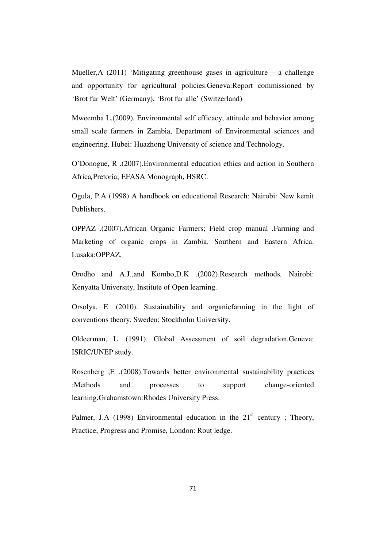Mueller,A (2011) 'Mitigating greenhouse gases in agriculture – a challenge and opportunity for agricultural policies.Geneva:Report commissioned by 'Brot fur Welt' (Germany), 'Brot fur alle' (Switzerland)

Mweemba L.(2009). Environmental self efficacy, attitude and behavior among small scale farmers in Zambia, Department of Environmental sciences and engineering. Hubei: Huazhong University of science and Technology.

O'Donogue, R .(2007).Environmental education ethics and action in Southern Africa*,*Pretoria; EFASA Monograph, HSRC.

Ogula, P.A (1998) A handbook on educational Research: Nairobi: New kemit Publishers.

OPPAZ .(2007).African Organic Farmers; Field crop manual .Farming and Marketing of organic crops in Zambia*,* Southern and Eastern Africa. Lusaka:OPPAZ.

Orodho and A.J.,and Kombo,D.K .(2002).Research methods*.* Nairobi: Kenyatta University, Institute of Open learning.

Orsolya, E .(2010). Sustainability and organicfarming in the light of conventions theory. Sweden: Stockholm University.

Oldeerman, L. (1991). Global Assessment of soil degradation.Geneva: ISRIC/UNEP study.

Rosenberg ,E .(2008).Towards better environmental sustainability practices :Methods and processes to support change-oriented learning.Grahamstown:Rhodes University Press.

Palmer, J.A (1998) Environmental education in the  $21<sup>st</sup>$  century; Theory, Practice, Progress and Promise*,* London: Rout ledge.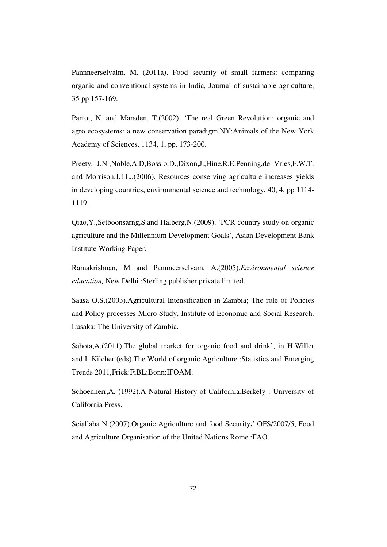Pannneerselvalm, M. (2011a). Food security of small farmers: comparing organic and conventional systems in India*,* Journal of sustainable agriculture, 35 pp 157-169.

Parrot, N. and Marsden, T.(2002). 'The real Green Revolution: organic and agro ecosystems: a new conservation paradigm.NY:Animals of the New York Academy of Sciences, 1134, 1, pp. 173-200.

Preety, J.N.,Noble,A.D,Bossio,D.,Dixon,J.,Hine,R.E,Penning,de Vries,F.W.T. and Morrison,J.I.L..(2006). Resources conserving agriculture increases yields in developing countries, environmental science and technology, 40, 4, pp 1114- 1119.

Qiao,Y.,Setboonsarng,S.and Halberg,N.(2009). 'PCR country study on organic agriculture and the Millennium Development Goals', Asian Development Bank Institute Working Paper.

Ramakrishnan, M and Pannneerselvam, A.(2005).*Environmental science education,* New Delhi :Sterling publisher private limited.

Saasa O.S,(2003).Agricultural Intensification in Zambia; The role of Policies and Policy processes-Micro Study, Institute of Economic and Social Research. Lusaka: The University of Zambia.

Sahota,A.(2011).The global market for organic food and drink', in H.Willer and L Kilcher (eds),The World of organic Agriculture :Statistics and Emerging Trends 2011,Frick:FiBL;Bonn:IFOAM.

Schoenherr,A. (1992).A Natural History of California*.*Berkely : University of California Press.

Sciallaba N.(2007).Organic Agriculture and food Security**.'** OFS/2007/5, Food and Agriculture Organisation of the United Nations Rome.:FAO.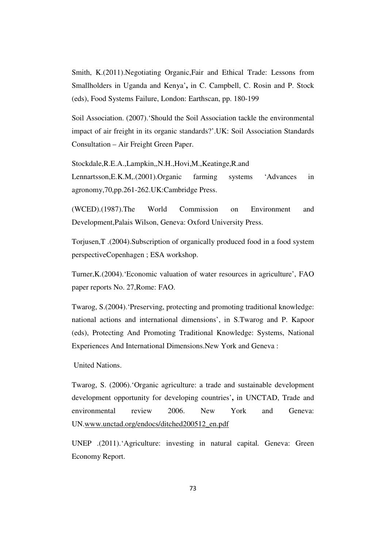Smith, K.(2011).Negotiating Organic,Fair and Ethical Trade: Lessons from Smallholders in Uganda and Kenya'**,** in C. Campbell, C. Rosin and P. Stock (eds), Food Systems Failure, London: Earthscan, pp. 180-199

Soil Association. (2007).'Should the Soil Association tackle the environmental impact of air freight in its organic standards?'.UK: Soil Association Standards Consultation – Air Freight Green Paper.

Stockdale,R.E.A.,Lampkin,,N.H.,Hovi,M.,Keatinge,R.and Lennartsson,E.K.M,.(2001).Organic farming systems 'Advances in agronomy,70,pp.261-262.UK:Cambridge Press.

(WCED).(1987).The World Commission on Environment and Development,Palais Wilson, Geneva: Oxford University Press.

Torjusen,T .(2004).Subscription of organically produced food in a food system perspectiveCopenhagen ; ESA workshop.

Turner,K.(2004).'Economic valuation of water resources in agriculture', FAO paper reports No. 27,Rome: FAO.

Twarog, S.(2004).'Preserving, protecting and promoting traditional knowledge: national actions and international dimensions', in S.Twarog and P. Kapoor (eds), Protecting And Promoting Traditional Knowledge: Systems, National Experiences And International Dimensions.New York and Geneva :

United Nations.

Twarog, S. (2006).'Organic agriculture: a trade and sustainable development development opportunity for developing countries'**,** in UNCTAD, Trade and environmental review 2006. New York and Geneva: UN.www.unctad.org/endocs/ditched200512\_en.pdf

UNEP .(2011).'Agriculture: investing in natural capital*.* Geneva: Green Economy Report.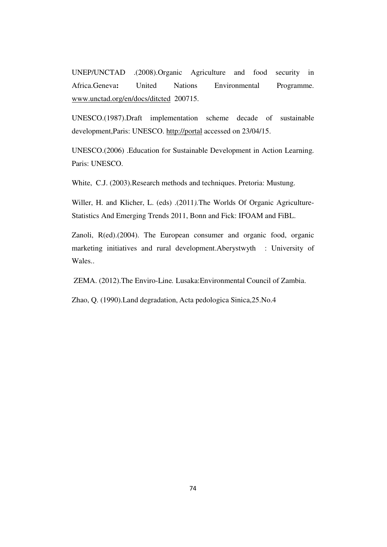UNEP/UNCTAD .(2008).Organic Agriculture and food security in Africa.Geneva**:** United Nations Environmental Programme. www.unctad.org/en/docs/ditcted 200715.

UNESCO.(1987).Draft implementation scheme decade of sustainable development,Paris: UNESCO. http://portal accessed on 23/04/15.

UNESCO.(2006) .Education for Sustainable Development in Action Learning. Paris: UNESCO.

White, C.J. (2003).Research methods and techniques. Pretoria: Mustung.

Willer, H. and Klicher, L. (eds) .(2011*).*The Worlds Of Organic Agriculture-Statistics And Emerging Trends 2011, Bonn and Fick: IFOAM and FiBL.

Zanoli, R(ed).(2004). The European consumer and organic food, organic marketing initiatives and rural development.Aberystwyth : University of Wales

ZEMA. (2012).The Enviro-Line*.* Lusaka:Environmental Council of Zambia.

Zhao, Q. (1990).Land degradation, Acta pedologica Sinica,25.No.4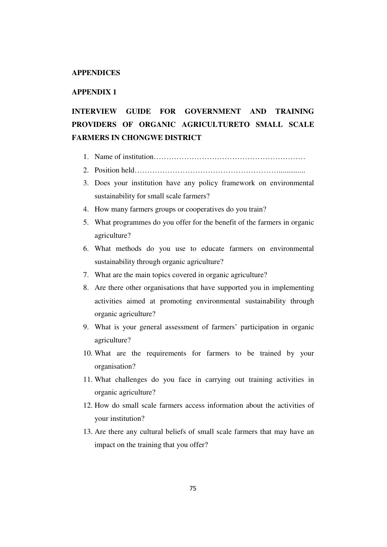#### **APPENDICES**

## **APPENDIX 1**

# **INTERVIEW GUIDE FOR GOVERNMENT AND TRAINING PROVIDERS OF ORGANIC AGRICULTURETO SMALL SCALE FARMERS IN CHONGWE DISTRICT**

- 1. Name of institution……………………………………………………
- 2. Position held…………………………………………………..............
- 3. Does your institution have any policy framework on environmental sustainability for small scale farmers?
- 4. How many farmers groups or cooperatives do you train?
- 5. What programmes do you offer for the benefit of the farmers in organic agriculture?
- 6. What methods do you use to educate farmers on environmental sustainability through organic agriculture?
- 7. What are the main topics covered in organic agriculture?
- 8. Are there other organisations that have supported you in implementing activities aimed at promoting environmental sustainability through organic agriculture?
- 9. What is your general assessment of farmers' participation in organic agriculture?
- 10. What are the requirements for farmers to be trained by your organisation?
- 11. What challenges do you face in carrying out training activities in organic agriculture?
- 12. How do small scale farmers access information about the activities of your institution?
- 13. Are there any cultural beliefs of small scale farmers that may have an impact on the training that you offer?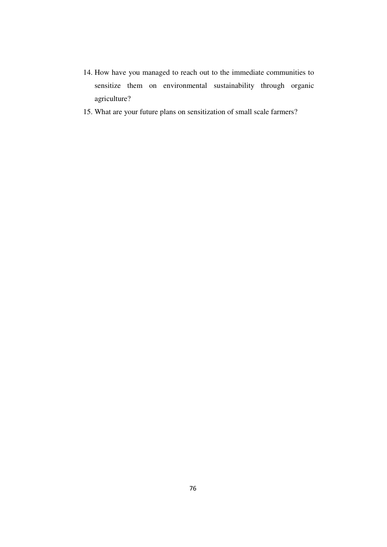- 14. How have you managed to reach out to the immediate communities to sensitize them on environmental sustainability through organic agriculture?
- 15. What are your future plans on sensitization of small scale farmers?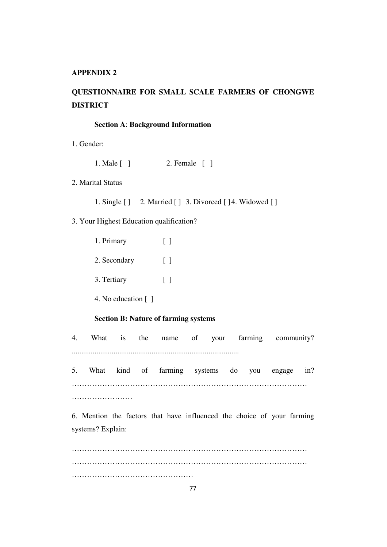#### **APPENDIX 2**

# **QUESTIONNAIRE FOR SMALL SCALE FARMERS OF CHONGWE DISTRICT**

#### **Section A**: **Background Information**

- 1. Gender:
	- 1. Male [ ] 2. Female [ ]

## 2. Marital Status

- 1. Single [ ] 2. Married [ ] 3. Divorced [ ] 4. Widowed [ ]
- 3. Your Highest Education qualification?

| 1. Primary   | $\mathsf{L}$ |
|--------------|--------------|
| 2. Secondary | $\perp$      |
| 3. Tertiary  | $\Box$       |

4. No education [ ]

## **Section B: Nature of farming systems**

4. What is the name of your farming community? ........................................................................................

5. What kind of farming systems do you engage in? ………………………………………………………………………………… …………………………

6. Mention the factors that have influenced the choice of your farming systems? Explain:

………………………………………………………………………………… ………………………………………………………………………………… …………………………………………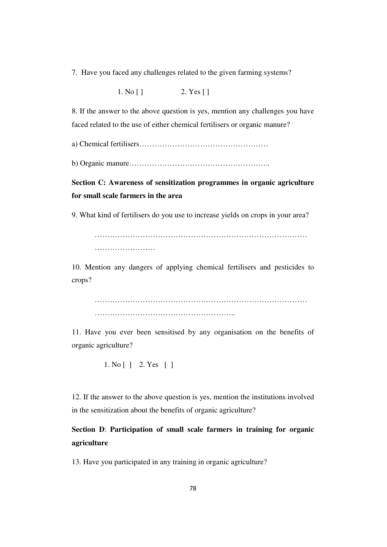7. Have you faced any challenges related to the given farming systems?

1. No [ ] 2. Yes [ ]

8. If the answer to the above question is yes, mention any challenges you have faced related to the use of either chemical fertilisers or organic manure?

a) Chemical fertilisers……………………………………………

b) Organic manure………………………………………………..

**Section C: Awareness of sensitization programmes in organic agriculture for small scale farmers in the area**

9. What kind of fertilisers do you use to increase yields on crops in your area?

………………………………………………………………………… ……………………………

10. Mention any dangers of applying chemical fertilisers and pesticides to crops?

………………………………………………………………………… ……………………………………………………………………………

11. Have you ever been sensitised by any organisation on the benefits of organic agriculture?

1. No [ ] 2. Yes [ ]

12. If the answer to the above question is yes, mention the institutions involved in the sensitization about the benefits of organic agriculture?

**Section D**: **Participation of small scale farmers in training for organic agriculture** 

13. Have you participated in any training in organic agriculture?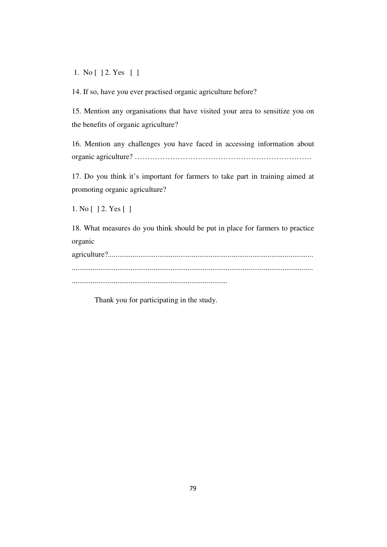1. No [ ] 2. Yes [ ]

14. If so, have you ever practised organic agriculture before?

15. Mention any organisations that have visited your area to sensitize you on the benefits of organic agriculture?

16. Mention any challenges you have faced in accessing information about organic agriculture? …………………………………………………………….

17. Do you think it's important for farmers to take part in training aimed at promoting organic agriculture?

1. No [ ] 2. Yes [ ]

18. What measures do you think should be put in place for farmers to practice organic

agriculture?............................................................................................................ ............................................................................................................................... ..................................................................................

Thank you for participating in the study.